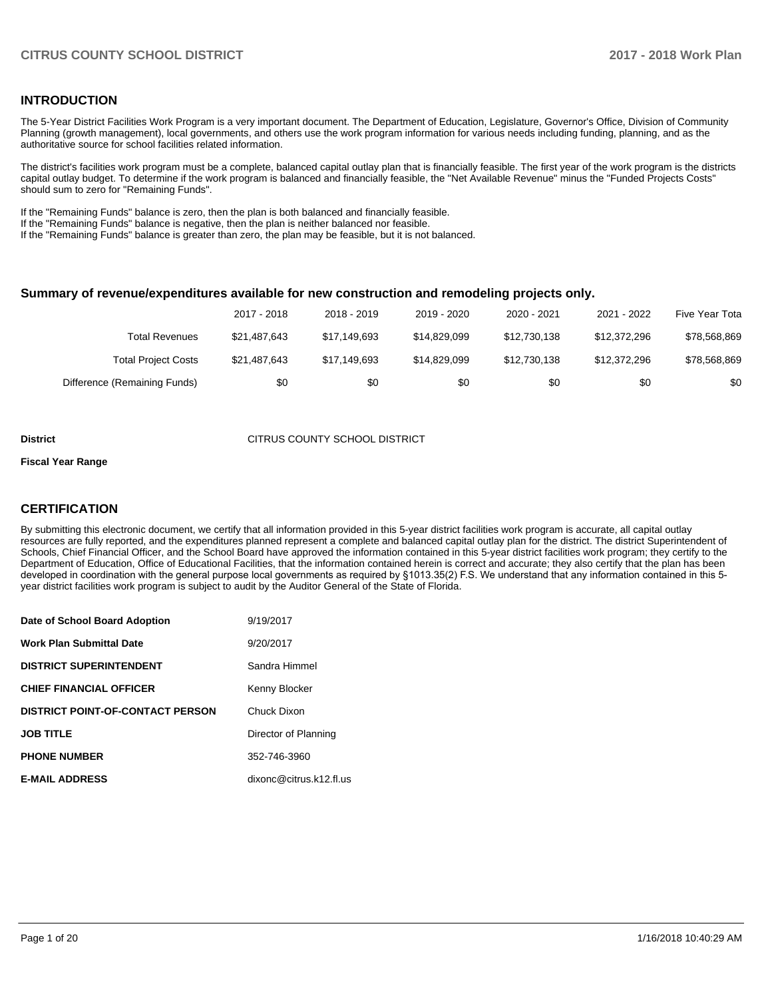### **INTRODUCTION**

The 5-Year District Facilities Work Program is a very important document. The Department of Education, Legislature, Governor's Office, Division of Community Planning (growth management), local governments, and others use the work program information for various needs including funding, planning, and as the authoritative source for school facilities related information.

The district's facilities work program must be a complete, balanced capital outlay plan that is financially feasible. The first year of the work program is the districts capital outlay budget. To determine if the work program is balanced and financially feasible, the "Net Available Revenue" minus the "Funded Projects Costs" should sum to zero for "Remaining Funds".

If the "Remaining Funds" balance is zero, then the plan is both balanced and financially feasible.

If the "Remaining Funds" balance is negative, then the plan is neither balanced nor feasible.

If the "Remaining Funds" balance is greater than zero, the plan may be feasible, but it is not balanced.

#### **Summary of revenue/expenditures available for new construction and remodeling projects only.**

| Five Year Tota | 2021 - 2022  | 2020 - 2021  | 2019 - 2020  | 2018 - 2019  | 2017 - 2018  |                              |
|----------------|--------------|--------------|--------------|--------------|--------------|------------------------------|
| \$78,568,869   | \$12,372,296 | \$12,730,138 | \$14,829,099 | \$17,149,693 | \$21,487,643 | Total Revenues               |
| \$78,568,869   | \$12,372,296 | \$12,730,138 | \$14,829,099 | \$17,149,693 | \$21,487,643 | <b>Total Project Costs</b>   |
| \$0            | \$0          | \$0          | \$0          | \$0          | \$0          | Difference (Remaining Funds) |

#### **District CITRUS COUNTY SCHOOL DISTRICT**

#### **Fiscal Year Range**

### **CERTIFICATION**

By submitting this electronic document, we certify that all information provided in this 5-year district facilities work program is accurate, all capital outlay resources are fully reported, and the expenditures planned represent a complete and balanced capital outlay plan for the district. The district Superintendent of Schools, Chief Financial Officer, and the School Board have approved the information contained in this 5-year district facilities work program; they certify to the Department of Education, Office of Educational Facilities, that the information contained herein is correct and accurate; they also certify that the plan has been developed in coordination with the general purpose local governments as required by §1013.35(2) F.S. We understand that any information contained in this 5year district facilities work program is subject to audit by the Auditor General of the State of Florida.

| Date of School Board Adoption           | 9/19/2017               |
|-----------------------------------------|-------------------------|
| <b>Work Plan Submittal Date</b>         | 9/20/2017               |
| <b>DISTRICT SUPERINTENDENT</b>          | Sandra Himmel           |
| <b>CHIEF FINANCIAL OFFICER</b>          | Kenny Blocker           |
| <b>DISTRICT POINT-OF-CONTACT PERSON</b> | Chuck Dixon             |
| <b>JOB TITLE</b>                        | Director of Planning    |
| <b>PHONE NUMBER</b>                     | 352-746-3960            |
| <b>E-MAIL ADDRESS</b>                   | dixonc@citrus.k12.fl.us |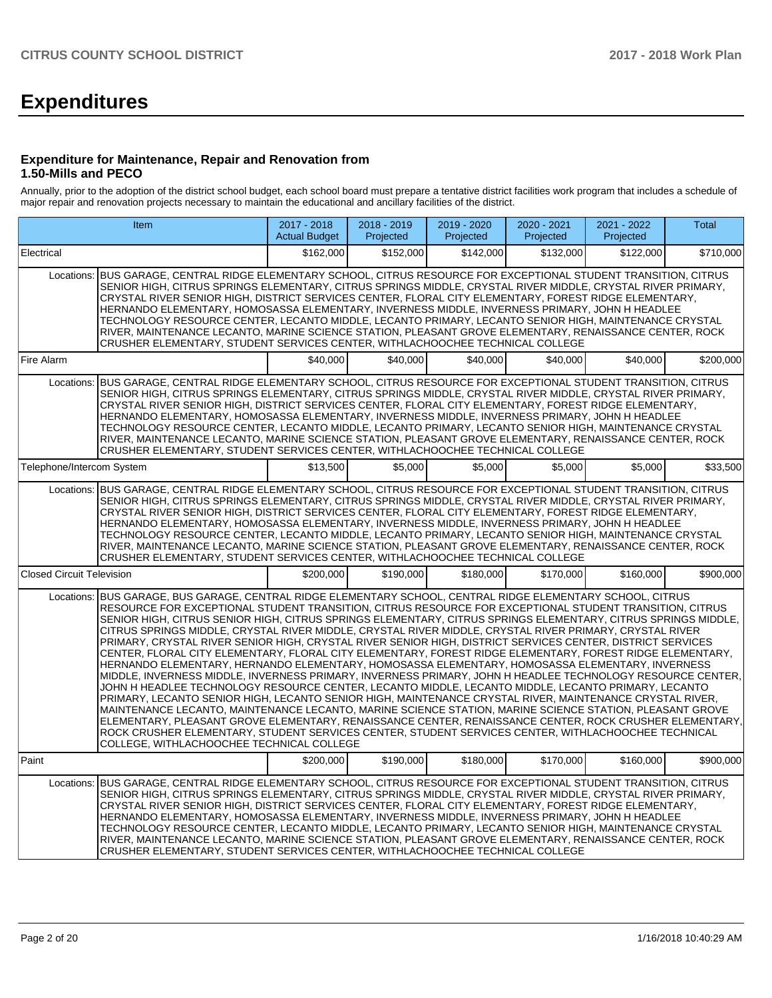# **Expenditures**

### **Expenditure for Maintenance, Repair and Renovation from 1.50-Mills and PECO**

Annually, prior to the adoption of the district school budget, each school board must prepare a tentative district facilities work program that includes a schedule of major repair and renovation projects necessary to maintain the educational and ancillary facilities of the district.

|                                  | Item                                                                                                                                                                                                                                                                                                                                                                                                                                                                                                                                                                                                                                                                                                                                                                                                                                                                                                                                                                                                                                                                                                                                                                                                                                                                                                                                                                                                                                                                                         | 2017 - 2018<br><b>Actual Budget</b> | 2018 - 2019<br>Projected | 2019 - 2020<br>Projected | 2020 - 2021<br>Projected | $2021 - 2022$<br>Projected | Total     |
|----------------------------------|----------------------------------------------------------------------------------------------------------------------------------------------------------------------------------------------------------------------------------------------------------------------------------------------------------------------------------------------------------------------------------------------------------------------------------------------------------------------------------------------------------------------------------------------------------------------------------------------------------------------------------------------------------------------------------------------------------------------------------------------------------------------------------------------------------------------------------------------------------------------------------------------------------------------------------------------------------------------------------------------------------------------------------------------------------------------------------------------------------------------------------------------------------------------------------------------------------------------------------------------------------------------------------------------------------------------------------------------------------------------------------------------------------------------------------------------------------------------------------------------|-------------------------------------|--------------------------|--------------------------|--------------------------|----------------------------|-----------|
| Electrical                       |                                                                                                                                                                                                                                                                                                                                                                                                                                                                                                                                                                                                                                                                                                                                                                                                                                                                                                                                                                                                                                                                                                                                                                                                                                                                                                                                                                                                                                                                                              | \$162,000                           | \$152,000                | \$142.000                | \$132.000                | \$122,000                  | \$710,000 |
| Locations:                       | BUS GARAGE, CENTRAL RIDGE ELEMENTARY SCHOOL, CITRUS RESOURCE FOR EXCEPTIONAL STUDENT TRANSITION, CITRUS<br>SENIOR HIGH, CITRUS SPRINGS ELEMENTARY, CITRUS SPRINGS MIDDLE, CRYSTAL RIVER MIDDLE, CRYSTAL RIVER PRIMARY,<br>CRYSTAL RIVER SENIOR HIGH, DISTRICT SERVICES CENTER, FLORAL CITY ELEMENTARY, FOREST RIDGE ELEMENTARY,<br>HERNANDO ELEMENTARY, HOMOSASSA ELEMENTARY, INVERNESS MIDDLE, INVERNESS PRIMARY, JOHN H HEADLEE<br>TECHNOLOGY RESOURCE CENTER, LECANTO MIDDLE, LECANTO PRIMARY, LECANTO SENIOR HIGH, MAINTENANCE CRYSTAL<br>RIVER, MAINTENANCE LECANTO, MARINE SCIENCE STATION, PLEASANT GROVE ELEMENTARY, RENAISSANCE CENTER, ROCK<br>CRUSHER ELEMENTARY, STUDENT SERVICES CENTER, WITHLACHOOCHEE TECHNICAL COLLEGE                                                                                                                                                                                                                                                                                                                                                                                                                                                                                                                                                                                                                                                                                                                                                       |                                     |                          |                          |                          |                            |           |
| Fire Alarm                       |                                                                                                                                                                                                                                                                                                                                                                                                                                                                                                                                                                                                                                                                                                                                                                                                                                                                                                                                                                                                                                                                                                                                                                                                                                                                                                                                                                                                                                                                                              | \$40,000                            | \$40,000                 | \$40,000                 | \$40,000                 | \$40,000                   | \$200.000 |
| Locations:                       | BUS GARAGE, CENTRAL RIDGE ELEMENTARY SCHOOL, CITRUS RESOURCE FOR EXCEPTIONAL STUDENT TRANSITION, CITRUS<br>SENIOR HIGH, CITRUS SPRINGS ELEMENTARY, CITRUS SPRINGS MIDDLE, CRYSTAL RIVER MIDDLE, CRYSTAL RIVER PRIMARY,<br>CRYSTAL RIVER SENIOR HIGH, DISTRICT SERVICES CENTER, FLORAL CITY ELEMENTARY, FOREST RIDGE ELEMENTARY,<br>HERNANDO ELEMENTARY, HOMOSASSA ELEMENTARY, INVERNESS MIDDLE, INVERNESS PRIMARY, JOHN H HEADLEE<br>TECHNOLOGY RESOURCE CENTER, LECANTO MIDDLE, LECANTO PRIMARY, LECANTO SENIOR HIGH, MAINTENANCE CRYSTAL<br>RIVER, MAINTENANCE LECANTO, MARINE SCIENCE STATION, PLEASANT GROVE ELEMENTARY, RENAISSANCE CENTER, ROCK<br>CRUSHER ELEMENTARY, STUDENT SERVICES CENTER, WITHLACHOOCHEE TECHNICAL COLLEGE                                                                                                                                                                                                                                                                                                                                                                                                                                                                                                                                                                                                                                                                                                                                                       |                                     |                          |                          |                          |                            |           |
| Telephone/Intercom System        |                                                                                                                                                                                                                                                                                                                                                                                                                                                                                                                                                                                                                                                                                                                                                                                                                                                                                                                                                                                                                                                                                                                                                                                                                                                                                                                                                                                                                                                                                              | \$13,500                            | \$5.000                  | \$5.000                  | \$5,000                  | \$5.000                    | \$33.500  |
| Locations:                       | BUS GARAGE, CENTRAL RIDGE ELEMENTARY SCHOOL, CITRUS RESOURCE FOR EXCEPTIONAL STUDENT TRANSITION, CITRUS<br>SENIOR HIGH, CITRUS SPRINGS ELEMENTARY, CITRUS SPRINGS MIDDLE, CRYSTAL RIVER MIDDLE, CRYSTAL RIVER PRIMARY,<br>CRYSTAL RIVER SENIOR HIGH, DISTRICT SERVICES CENTER, FLORAL CITY ELEMENTARY, FOREST RIDGE ELEMENTARY,<br>HERNANDO ELEMENTARY, HOMOSASSA ELEMENTARY, INVERNESS MIDDLE, INVERNESS PRIMARY, JOHN H HEADLEE<br>TECHNOLOGY RESOURCE CENTER, LECANTO MIDDLE, LECANTO PRIMARY, LECANTO SENIOR HIGH, MAINTENANCE CRYSTAL<br>RIVER, MAINTENANCE LECANTO, MARINE SCIENCE STATION, PLEASANT GROVE ELEMENTARY, RENAISSANCE CENTER, ROCK<br>CRUSHER ELEMENTARY, STUDENT SERVICES CENTER, WITHLACHOOCHEE TECHNICAL COLLEGE                                                                                                                                                                                                                                                                                                                                                                                                                                                                                                                                                                                                                                                                                                                                                       |                                     |                          |                          |                          |                            |           |
| <b>Closed Circuit Television</b> |                                                                                                                                                                                                                                                                                                                                                                                                                                                                                                                                                                                                                                                                                                                                                                                                                                                                                                                                                                                                                                                                                                                                                                                                                                                                                                                                                                                                                                                                                              | \$200.000                           | \$190,000                | \$180,000                | \$170,000                | \$160,000                  | \$900.000 |
|                                  | Locations: BUS GARAGE, BUS GARAGE, CENTRAL RIDGE ELEMENTARY SCHOOL, CENTRAL RIDGE ELEMENTARY SCHOOL, CITRUS<br>RESOURCE FOR EXCEPTIONAL STUDENT TRANSITION, CITRUS RESOURCE FOR EXCEPTIONAL STUDENT TRANSITION, CITRUS<br>SENIOR HIGH, CITRUS SENIOR HIGH, CITRUS SPRINGS ELEMENTARY, CITRUS SPRINGS ELEMENTARY, CITRUS SPRINGS MIDDLE,<br>CITRUS SPRINGS MIDDLE, CRYSTAL RIVER MIDDLE, CRYSTAL RIVER MIDDLE, CRYSTAL RIVER PRIMARY, CRYSTAL RIVER<br>PRIMARY, CRYSTAL RIVER SENIOR HIGH, CRYSTAL RIVER SENIOR HIGH, DISTRICT SERVICES CENTER, DISTRICT SERVICES<br>CENTER, FLORAL CITY ELEMENTARY, FLORAL CITY ELEMENTARY, FOREST RIDGE ELEMENTARY, FOREST RIDGE ELEMENTARY,<br>HERNANDO ELEMENTARY, HERNANDO ELEMENTARY, HOMOSASSA ELEMENTARY, HOMOSASSA ELEMENTARY, INVERNESS<br>MIDDLE, INVERNESS MIDDLE, INVERNESS PRIMARY, INVERNESS PRIMARY, JOHN H HEADLEE TECHNOLOGY RESOURCE CENTER,<br>JOHN H HEADLEE TECHNOLOGY RESOURCE CENTER, LECANTO MIDDLE, LECANTO MIDDLE, LECANTO PRIMARY, LECANTO<br>PRIMARY, LECANTO SENIOR HIGH, LECANTO SENIOR HIGH, MAINTENANCE CRYSTAL RIVER, MAINTENANCE CRYSTAL RIVER,<br>MAINTENANCE LECANTO, MAINTENANCE LECANTO, MARINE SCIENCE STATION, MARINE SCIENCE STATION, PLEASANT GROVE<br>ELEMENTARY, PLEASANT GROVE ELEMENTARY, RENAISSANCE CENTER, RENAISSANCE CENTER, ROCK CRUSHER ELEMENTARY,<br>ROCK CRUSHER ELEMENTARY, STUDENT SERVICES CENTER, STUDENT SERVICES CENTER, WITHLACHOOCHEE TECHNICAL<br>COLLEGE, WITHLACHOOCHEE TECHNICAL COLLEGE |                                     |                          |                          |                          |                            |           |
| Paint                            |                                                                                                                                                                                                                                                                                                                                                                                                                                                                                                                                                                                                                                                                                                                                                                                                                                                                                                                                                                                                                                                                                                                                                                                                                                                                                                                                                                                                                                                                                              | \$200,000                           | \$190,000                | \$180,000                | \$170,000                | \$160,000                  | \$900,000 |
| Locations:                       | BUS GARAGE, CENTRAL RIDGE ELEMENTARY SCHOOL, CITRUS RESOURCE FOR EXCEPTIONAL STUDENT TRANSITION, CITRUS<br>SENIOR HIGH, CITRUS SPRINGS ELEMENTARY, CITRUS SPRINGS MIDDLE, CRYSTAL RIVER MIDDLE, CRYSTAL RIVER PRIMARY,<br>CRYSTAL RIVER SENIOR HIGH, DISTRICT SERVICES CENTER, FLORAL CITY ELEMENTARY, FOREST RIDGE ELEMENTARY,<br>HERNANDO ELEMENTARY, HOMOSASSA ELEMENTARY, INVERNESS MIDDLE, INVERNESS PRIMARY, JOHN H HEADLEE<br>TECHNOLOGY RESOURCE CENTER, LECANTO MIDDLE, LECANTO PRIMARY, LECANTO SENIOR HIGH, MAINTENANCE CRYSTAL<br>RIVER, MAINTENANCE LECANTO, MARINE SCIENCE STATION, PLEASANT GROVE ELEMENTARY, RENAISSANCE CENTER, ROCK<br>CRUSHER ELEMENTARY, STUDENT SERVICES CENTER, WITHLACHOOCHEE TECHNICAL COLLEGE                                                                                                                                                                                                                                                                                                                                                                                                                                                                                                                                                                                                                                                                                                                                                       |                                     |                          |                          |                          |                            |           |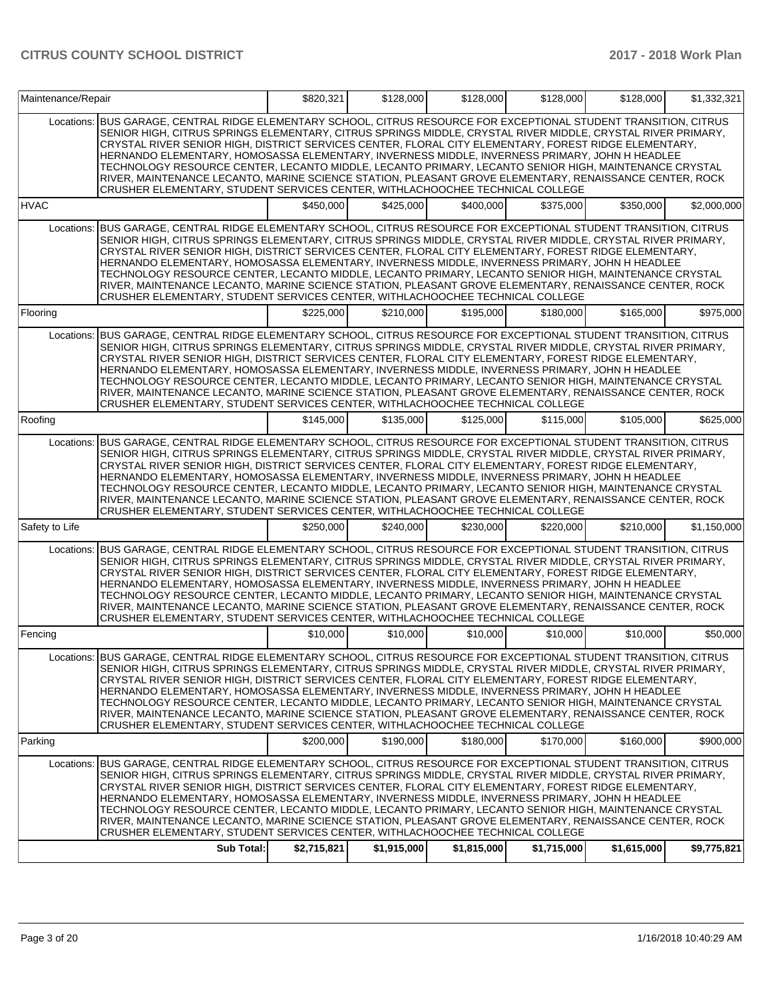| Maintenance/Repair |                                                                                                                                                                                                                                                                                                                                                                                                                                                                                                                                                                                                                                                                                                                                                             | \$820,321   | \$128,000   | \$128,000   | \$128,000   | \$128,000   | \$1,332,321 |
|--------------------|-------------------------------------------------------------------------------------------------------------------------------------------------------------------------------------------------------------------------------------------------------------------------------------------------------------------------------------------------------------------------------------------------------------------------------------------------------------------------------------------------------------------------------------------------------------------------------------------------------------------------------------------------------------------------------------------------------------------------------------------------------------|-------------|-------------|-------------|-------------|-------------|-------------|
| Locations:         | BUS GARAGE, CENTRAL RIDGE ELEMENTARY SCHOOL, CITRUS RESOURCE FOR EXCEPTIONAL STUDENT TRANSITION, CITRUS<br>SENIOR HIGH, CITRUS SPRINGS ELEMENTARY, CITRUS SPRINGS MIDDLE, CRYSTAL RIVER MIDDLE, CRYSTAL RIVER PRIMARY,<br>CRYSTAL RIVER SENIOR HIGH, DISTRICT SERVICES CENTER, FLORAL CITY ELEMENTARY, FOREST RIDGE ELEMENTARY,<br>HERNANDO ELEMENTARY, HOMOSASSA ELEMENTARY, INVERNESS MIDDLE, INVERNESS PRIMARY, JOHN H HEADLEE<br>TECHNOLOGY RESOURCE CENTER, LECANTO MIDDLE, LECANTO PRIMARY, LECANTO SENIOR HIGH, MAINTENANCE CRYSTAL<br>RIVER, MAINTENANCE LECANTO, MARINE SCIENCE STATION, PLEASANT GROVE ELEMENTARY, RENAISSANCE CENTER, ROCK<br>CRUSHER ELEMENTARY, STUDENT SERVICES CENTER, WITHLACHOOCHEE TECHNICAL COLLEGE                      |             |             |             |             |             |             |
| <b>HVAC</b>        |                                                                                                                                                                                                                                                                                                                                                                                                                                                                                                                                                                                                                                                                                                                                                             | \$450,000   | \$425,000   | \$400,000   | \$375,000   | \$350,000   | \$2,000,000 |
| Locations:         | BUS GARAGE, CENTRAL RIDGE ELEMENTARY SCHOOL, CITRUS RESOURCE FOR EXCEPTIONAL STUDENT TRANSITION, CITRUS<br>SENIOR HIGH, CITRUS SPRINGS ELEMENTARY, CITRUS SPRINGS MIDDLE, CRYSTAL RIVER MIDDLE, CRYSTAL RIVER PRIMARY,<br>CRYSTAL RIVER SENIOR HIGH, DISTRICT SERVICES CENTER, FLORAL CITY ELEMENTARY, FOREST RIDGE ELEMENTARY,<br>HERNANDO ELEMENTARY, HOMOSASSA ELEMENTARY, INVERNESS MIDDLE, INVERNESS PRIMARY, JOHN H HEADLEE<br>TECHNOLOGY RESOURCE CENTER, LECANTO MIDDLE, LECANTO PRIMARY, LECANTO SENIOR HIGH, MAINTENANCE CRYSTAL<br>RIVER, MAINTENANCE LECANTO, MARINE SCIENCE STATION, PLEASANT GROVE ELEMENTARY, RENAISSANCE CENTER, ROCK<br>CRUSHER ELEMENTARY, STUDENT SERVICES CENTER, WITHLACHOOCHEE TECHNICAL COLLEGE                      |             |             |             |             |             |             |
| Flooring           |                                                                                                                                                                                                                                                                                                                                                                                                                                                                                                                                                                                                                                                                                                                                                             | \$225,000   | \$210,000   | \$195,000   | \$180,000   | \$165,000   | \$975,000   |
| Locations:         | BUS GARAGE, CENTRAL RIDGE ELEMENTARY SCHOOL, CITRUS RESOURCE FOR EXCEPTIONAL STUDENT TRANSITION, CITRUS<br>SENIOR HIGH. CITRUS SPRINGS ELEMENTARY, CITRUS SPRINGS MIDDLE, CRYSTAL RIVER MIDDLE, CRYSTAL RIVER PRIMARY,<br>CRYSTAL RIVER SENIOR HIGH, DISTRICT SERVICES CENTER, FLORAL CITY ELEMENTARY, FOREST RIDGE ELEMENTARY,<br>HERNANDO ELEMENTARY. HOMOSASSA ELEMENTARY. INVERNESS MIDDLE. INVERNESS PRIMARY. JOHN H HEADLEE<br>TECHNOLOGY RESOURCE CENTER, LECANTO MIDDLE, LECANTO PRIMARY, LECANTO SENIOR HIGH, MAINTENANCE CRYSTAL<br>RIVER, MAINTENANCE LECANTO, MARINE SCIENCE STATION, PLEASANT GROVE ELEMENTARY, RENAISSANCE CENTER, ROCK<br>CRUSHER ELEMENTARY, STUDENT SERVICES CENTER, WITHLACHOOCHEE TECHNICAL COLLEGE                      |             |             |             |             |             |             |
| Roofing            |                                                                                                                                                                                                                                                                                                                                                                                                                                                                                                                                                                                                                                                                                                                                                             | \$145,000   | \$135,000   | \$125,000   | \$115,000   | \$105,000   | \$625,000   |
| Locations:         | BUS GARAGE, CENTRAL RIDGE ELEMENTARY SCHOOL, CITRUS RESOURCE FOR EXCEPTIONAL STUDENT TRANSITION, CITRUS<br>SENIOR HIGH. CITRUS SPRINGS ELEMENTARY. CITRUS SPRINGS MIDDLE, CRYSTAL RIVER MIDDLE, CRYSTAL RIVER PRIMARY.<br>CRYSTAL RIVER SENIOR HIGH, DISTRICT SERVICES CENTER, FLORAL CITY ELEMENTARY, FOREST RIDGE ELEMENTARY,<br>HERNANDO ELEMENTARY, HOMOSASSA ELEMENTARY, INVERNESS MIDDLE, INVERNESS PRIMARY, JOHN H HEADLEE<br>TECHNOLOGY RESOURCE CENTER, LECANTO MIDDLE, LECANTO PRIMARY, LECANTO SENIOR HIGH, MAINTENANCE CRYSTAL<br>RIVER, MAINTENANCE LECANTO, MARINE SCIENCE STATION, PLEASANT GROVE ELEMENTARY, RENAISSANCE CENTER, ROCK<br>CRUSHER ELEMENTARY, STUDENT SERVICES CENTER, WITHLACHOOCHEE TECHNICAL COLLEGE                      |             |             |             |             |             |             |
| Safety to Life     |                                                                                                                                                                                                                                                                                                                                                                                                                                                                                                                                                                                                                                                                                                                                                             | \$250,000   | \$240,000   | \$230,000   | \$220,000   | \$210,000   | \$1,150,000 |
| Locations:         | BUS GARAGE, CENTRAL RIDGE ELEMENTARY SCHOOL, CITRUS RESOURCE FOR EXCEPTIONAL STUDENT TRANSITION, CITRUS<br>SENIOR HIGH, CITRUS SPRINGS ELEMENTARY, CITRUS SPRINGS MIDDLE, CRYSTAL RIVER MIDDLE, CRYSTAL RIVER PRIMARY,<br>CRYSTAL RIVER SENIOR HIGH, DISTRICT SERVICES CENTER, FLORAL CITY ELEMENTARY, FOREST RIDGE ELEMENTARY,<br>HERNANDO ELEMENTARY, HOMOSASSA ELEMENTARY, INVERNESS MIDDLE, INVERNESS PRIMARY, JOHN H HEADLEE<br>TECHNOLOGY RESOURCE CENTER, LECANTO MIDDLE, LECANTO PRIMARY, LECANTO SENIOR HIGH, MAINTENANCE CRYSTAL<br>RIVER, MAINTENANCE LECANTO, MARINE SCIENCE STATION, PLEASANT GROVE ELEMENTARY, RENAISSANCE CENTER, ROCK<br>CRUSHER ELEMENTARY, STUDENT SERVICES CENTER, WITHLACHOOCHEE TECHNICAL COLLEGE                      |             |             |             |             |             |             |
| Fencing            |                                                                                                                                                                                                                                                                                                                                                                                                                                                                                                                                                                                                                                                                                                                                                             | \$10,000    | \$10,000    | \$10,000    | \$10,000    | \$10,000    | \$50,000    |
|                    | Locations:  BUS GARAGE, CENTRAL RIDGE ELEMENTARY SCHOOL, CITRUS RESOURCE FOR EXCEPTIONAL STUDENT TRANSITION, CITRUS<br>SENIOR HIGH, CITRUS SPRINGS ELEMENTARY, CITRUS SPRINGS MIDDLE, CRYSTAL RIVER MIDDLE, CRYSTAL RIVER PRIMARY,<br>CRYSTAL RIVER SENIOR HIGH, DISTRICT SERVICES CENTER, FLORAL CITY ELEMENTARY, FOREST RIDGE ELEMENTARY,<br>HERNANDO ELEMENTARY, HOMOSASSA ELEMENTARY, INVERNESS MIDDLE, INVERNESS PRIMARY, JOHN H HEADLEE<br>TECHNOLOGY RESOURCE CENTER, LECANTO MIDDLE, LECANTO PRIMARY, LECANTO SENIOR HIGH, MAINTENANCE CRYSTAL<br>RIVER, MAINTENANCE LECANTO, MARINE SCIENCE STATION, PLEASANT GROVE ELEMENTARY, RENAISSANCE CENTER, ROCK<br>CRUSHER ELEMENTARY, STUDENT SERVICES CENTER, WITHLACHOOCHEE TECHNICAL COLLEGE          |             |             |             |             |             |             |
| Parking            |                                                                                                                                                                                                                                                                                                                                                                                                                                                                                                                                                                                                                                                                                                                                                             | \$200,000   | \$190,000   | \$180,000   | \$170,000   | \$160,000   | \$900,000   |
| Locations:         | BUS GARAGE, CENTRAL RIDGE ELEMENTARY SCHOOL, CITRUS RESOURCE FOR EXCEPTIONAL STUDENT TRANSITION, CITRUS<br>SENIOR HIGH, CITRUS SPRINGS ELEMENTARY, CITRUS SPRINGS MIDDLE, CRYSTAL RIVER MIDDLE, CRYSTAL RIVER PRIMARY,<br>CRYSTAL RIVER SENIOR HIGH, DISTRICT SERVICES CENTER, FLORAL CITY ELEMENTARY, FOREST RIDGE ELEMENTARY,<br>HERNANDO ELEMENTARY, HOMOSASSA ELEMENTARY, INVERNESS MIDDLE, INVERNESS PRIMARY, JOHN H HEADLEE<br>TECHNOLOGY RESOURCE CENTER, LECANTO MIDDLE, LECANTO PRIMARY, LECANTO SENIOR HIGH, MAINTENANCE CRYSTAL<br>RIVER, MAINTENANCE LECANTO, MARINE SCIENCE STATION, PLEASANT GROVE ELEMENTARY, RENAISSANCE CENTER, ROCK<br>CRUSHER ELEMENTARY, STUDENT SERVICES CENTER, WITHLACHOOCHEE TECHNICAL COLLEGE<br><b>Sub Total:</b> | \$2,715,821 | \$1,915,000 | \$1,815,000 | \$1,715,000 | \$1,615,000 | \$9,775,821 |
|                    |                                                                                                                                                                                                                                                                                                                                                                                                                                                                                                                                                                                                                                                                                                                                                             |             |             |             |             |             |             |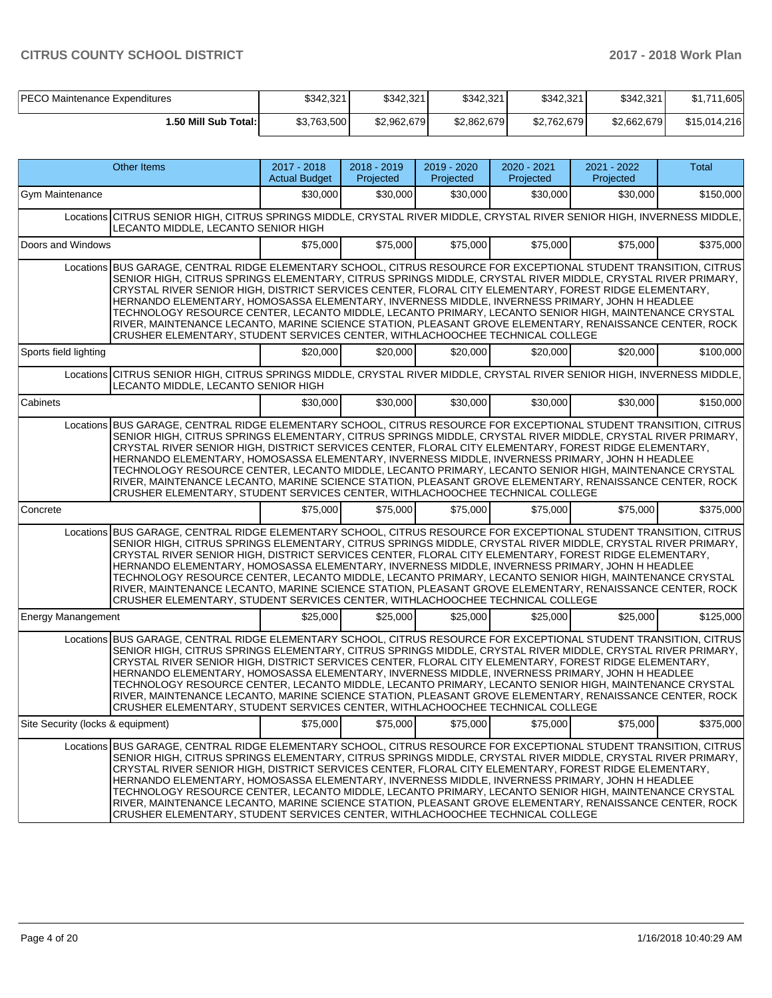| PECO Maintenance Expenditures | \$342.321   | \$342.321   | \$342.321   | \$342,321   | \$342.321   | l,605<br><b>CA 74</b><br>، ۱۰۵ |
|-------------------------------|-------------|-------------|-------------|-------------|-------------|--------------------------------|
| 1.50 Mill Sub Total:          | \$3,763,500 | \$2.962.679 | \$2,862,679 | \$2.762.679 | \$2.662.679 | \$15,014,216                   |

|                                   | Other Items                                                                                                                                                                                                                                                                                                                                                                                                                                                                                                                                                                                                                                                                                                                                      | 2017 - 2018<br><b>Actual Budget</b> | 2018 - 2019<br>Projected | 2019 - 2020<br>Projected      | 2020 - 2021<br>Projected | 2021 - 2022<br>Projected | Total     |
|-----------------------------------|--------------------------------------------------------------------------------------------------------------------------------------------------------------------------------------------------------------------------------------------------------------------------------------------------------------------------------------------------------------------------------------------------------------------------------------------------------------------------------------------------------------------------------------------------------------------------------------------------------------------------------------------------------------------------------------------------------------------------------------------------|-------------------------------------|--------------------------|-------------------------------|--------------------------|--------------------------|-----------|
| Gym Maintenance                   |                                                                                                                                                                                                                                                                                                                                                                                                                                                                                                                                                                                                                                                                                                                                                  | \$30,000                            | \$30,000                 | \$30,000                      | \$30,000                 | \$30,000                 | \$150,000 |
|                                   | Locations CITRUS SENIOR HIGH, CITRUS SPRINGS MIDDLE, CRYSTAL RIVER MIDDLE, CRYSTAL RIVER SENIOR HIGH, INVERNESS MIDDLE,<br>LECANTO MIDDLE, LECANTO SENIOR HIGH                                                                                                                                                                                                                                                                                                                                                                                                                                                                                                                                                                                   |                                     |                          |                               |                          |                          |           |
| Doors and Windows                 |                                                                                                                                                                                                                                                                                                                                                                                                                                                                                                                                                                                                                                                                                                                                                  | \$75,000                            | \$75,000                 | \$75,000                      | \$75,000                 | \$75,000                 | \$375,000 |
|                                   | Locations BUS GARAGE, CENTRAL RIDGE ELEMENTARY SCHOOL, CITRUS RESOURCE FOR EXCEPTIONAL STUDENT TRANSITION, CITRUS<br>SENIOR HIGH, CITRUS SPRINGS ELEMENTARY, CITRUS SPRINGS MIDDLE, CRYSTAL RIVER MIDDLE, CRYSTAL RIVER PRIMARY,<br>CRYSTAL RIVER SENIOR HIGH, DISTRICT SERVICES CENTER, FLORAL CITY ELEMENTARY, FOREST RIDGE ELEMENTARY,<br>HERNANDO ELEMENTARY, HOMOSASSA ELEMENTARY, INVERNESS MIDDLE, INVERNESS PRIMARY, JOHN H HEADLEE<br>TECHNOLOGY RESOURCE CENTER, LECANTO MIDDLE, LECANTO PRIMARY, LECANTO SENIOR HIGH, MAINTENANCE CRYSTAL<br>RIVER, MAINTENANCE LECANTO, MARINE SCIENCE STATION, PLEASANT GROVE ELEMENTARY, RENAISSANCE CENTER, ROCK<br>CRUSHER ELEMENTARY, STUDENT SERVICES CENTER, WITHLACHOOCHEE TECHNICAL COLLEGE |                                     |                          |                               |                          |                          |           |
| Sports field lighting             |                                                                                                                                                                                                                                                                                                                                                                                                                                                                                                                                                                                                                                                                                                                                                  | \$20,000                            | \$20,000                 | \$20,000                      | \$20,000                 | \$20,000                 | \$100,000 |
|                                   | Locations CITRUS SENIOR HIGH, CITRUS SPRINGS MIDDLE, CRYSTAL RIVER MIDDLE, CRYSTAL RIVER SENIOR HIGH, INVERNESS MIDDLE,<br>LECANTO MIDDLE, LECANTO SENIOR HIGH                                                                                                                                                                                                                                                                                                                                                                                                                                                                                                                                                                                   |                                     |                          |                               |                          |                          |           |
| Cabinets                          |                                                                                                                                                                                                                                                                                                                                                                                                                                                                                                                                                                                                                                                                                                                                                  | \$30,000                            | \$30,000                 | \$30,000                      | \$30,000                 | \$30,000                 | \$150,000 |
| Locations                         | BUS GARAGE, CENTRAL RIDGE ELEMENTARY SCHOOL, CITRUS RESOURCE FOR EXCEPTIONAL STUDENT TRANSITION, CITRUS<br>SENIOR HIGH, CITRUS SPRINGS ELEMENTARY, CITRUS SPRINGS MIDDLE, CRYSTAL RIVER MIDDLE, CRYSTAL RIVER PRIMARY,<br>CRYSTAL RIVER SENIOR HIGH, DISTRICT SERVICES CENTER, FLORAL CITY ELEMENTARY, FOREST RIDGE ELEMENTARY,<br>HERNANDO ELEMENTARY, HOMOSASSA ELEMENTARY, INVERNESS MIDDLE, INVERNESS PRIMARY, JOHN H HEADLEE<br>TECHNOLOGY RESOURCE CENTER, LECANTO MIDDLE, LECANTO PRIMARY, LECANTO SENIOR HIGH, MAINTENANCE CRYSTAL<br>RIVER, MAINTENANCE LECANTO, MARINE SCIENCE STATION, PLEASANT GROVE ELEMENTARY, RENAISSANCE CENTER, ROCK<br>CRUSHER ELEMENTARY, STUDENT SERVICES CENTER, WITHLACHOOCHEE TECHNICAL COLLEGE           |                                     |                          |                               |                          |                          |           |
| Concrete                          |                                                                                                                                                                                                                                                                                                                                                                                                                                                                                                                                                                                                                                                                                                                                                  | \$75,000                            | \$75,000                 | \$75,000                      | \$75,000                 | \$75,000                 | \$375,000 |
|                                   | Locations BUS GARAGE, CENTRAL RIDGE ELEMENTARY SCHOOL, CITRUS RESOURCE FOR EXCEPTIONAL STUDENT TRANSITION, CITRUS<br>SENIOR HIGH, CITRUS SPRINGS ELEMENTARY, CITRUS SPRINGS MIDDLE, CRYSTAL RIVER MIDDLE, CRYSTAL RIVER PRIMARY,<br>CRYSTAL RIVER SENIOR HIGH, DISTRICT SERVICES CENTER, FLORAL CITY ELEMENTARY, FOREST RIDGE ELEMENTARY,<br>HERNANDO ELEMENTARY, HOMOSASSA ELEMENTARY, INVERNESS MIDDLE, INVERNESS PRIMARY, JOHN H HEADLEE<br>TECHNOLOGY RESOURCE CENTER, LECANTO MIDDLE, LECANTO PRIMARY, LECANTO SENIOR HIGH, MAINTENANCE CRYSTAL<br>RIVER, MAINTENANCE LECANTO, MARINE SCIENCE STATION, PLEASANT GROVE ELEMENTARY, RENAISSANCE CENTER, ROCK<br>CRUSHER ELEMENTARY, STUDENT SERVICES CENTER, WITHLACHOOCHEE TECHNICAL COLLEGE |                                     |                          |                               |                          |                          |           |
| <b>Energy Manangement</b>         |                                                                                                                                                                                                                                                                                                                                                                                                                                                                                                                                                                                                                                                                                                                                                  | \$25,000                            | \$25,000                 | \$25,000                      | \$25,000                 | \$25,000                 | \$125,000 |
|                                   | Locations BUS GARAGE, CENTRAL RIDGE ELEMENTARY SCHOOL, CITRUS RESOURCE FOR EXCEPTIONAL STUDENT TRANSITION, CITRUS<br>SENIOR HIGH, CITRUS SPRINGS ELEMENTARY, CITRUS SPRINGS MIDDLE, CRYSTAL RIVER MIDDLE, CRYSTAL RIVER PRIMARY,<br>CRYSTAL RIVER SENIOR HIGH. DISTRICT SERVICES CENTER. FLORAL CITY ELEMENTARY. FOREST RIDGE ELEMENTARY.<br>HERNANDO ELEMENTARY, HOMOSASSA ELEMENTARY, INVERNESS MIDDLE, INVERNESS PRIMARY, JOHN H HEADLEE<br>TECHNOLOGY RESOURCE CENTER, LECANTO MIDDLE, LECANTO PRIMARY, LECANTO SENIOR HIGH, MAINTENANCE CRYSTAL<br>RIVER, MAINTENANCE LECANTO, MARINE SCIENCE STATION, PLEASANT GROVE ELEMENTARY, RENAISSANCE CENTER, ROCK<br>CRUSHER ELEMENTARY, STUDENT SERVICES CENTER, WITHLACHOOCHEE TECHNICAL COLLEGE |                                     |                          |                               |                          |                          |           |
| Site Security (locks & equipment) |                                                                                                                                                                                                                                                                                                                                                                                                                                                                                                                                                                                                                                                                                                                                                  |                                     |                          | $$75,000$ $$75,000$ $$75,000$ | \$75,000                 | \$75,000                 | \$375,000 |
|                                   | Locations BUS GARAGE, CENTRAL RIDGE ELEMENTARY SCHOOL, CITRUS RESOURCE FOR EXCEPTIONAL STUDENT TRANSITION, CITRUS<br>SENIOR HIGH, CITRUS SPRINGS ELEMENTARY, CITRUS SPRINGS MIDDLE, CRYSTAL RIVER MIDDLE, CRYSTAL RIVER PRIMARY,<br>CRYSTAL RIVER SENIOR HIGH, DISTRICT SERVICES CENTER, FLORAL CITY ELEMENTARY, FOREST RIDGE ELEMENTARY,<br>HERNANDO ELEMENTARY, HOMOSASSA ELEMENTARY, INVERNESS MIDDLE, INVERNESS PRIMARY, JOHN H HEADLEE<br>TECHNOLOGY RESOURCE CENTER, LECANTO MIDDLE, LECANTO PRIMARY, LECANTO SENIOR HIGH, MAINTENANCE CRYSTAL<br>RIVER, MAINTENANCE LECANTO, MARINE SCIENCE STATION, PLEASANT GROVE ELEMENTARY, RENAISSANCE CENTER, ROCK<br>CRUSHER ELEMENTARY, STUDENT SERVICES CENTER, WITHLACHOOCHEE TECHNICAL COLLEGE |                                     |                          |                               |                          |                          |           |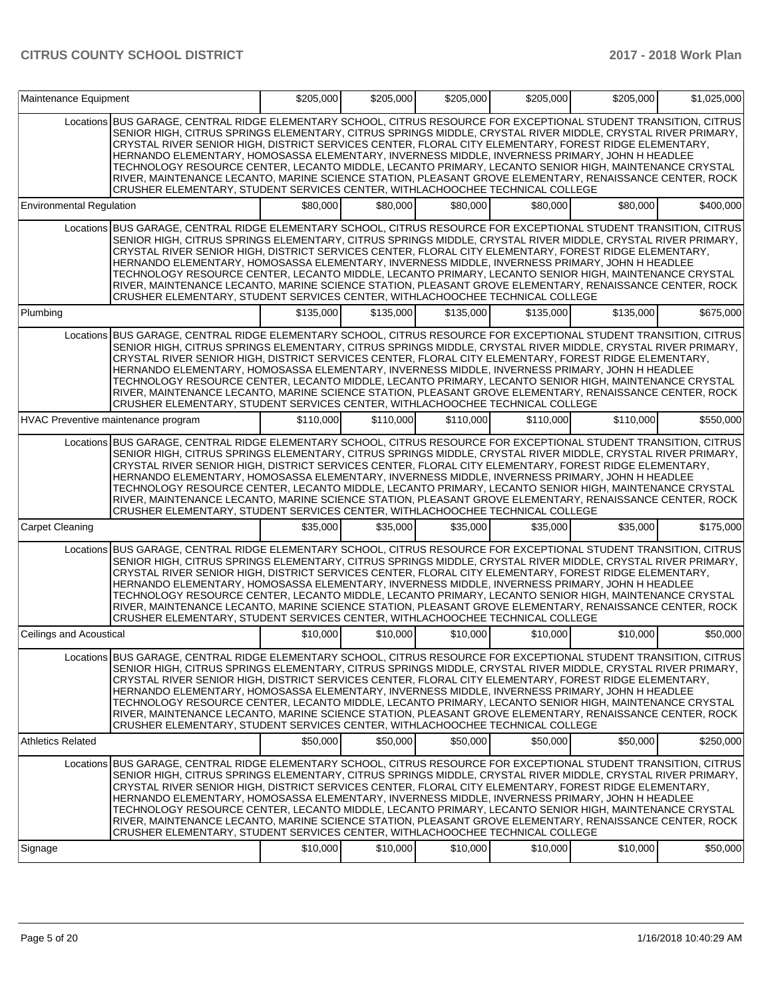| Maintenance Equipment           |                                                                                                                                                                                                                                                                                                                                                                                                                                                                                                                                                                                                                                                                                                                                                  | \$205,000 | \$205.000 | \$205,000 | \$205,000 | \$205,000 | \$1,025,000 |
|---------------------------------|--------------------------------------------------------------------------------------------------------------------------------------------------------------------------------------------------------------------------------------------------------------------------------------------------------------------------------------------------------------------------------------------------------------------------------------------------------------------------------------------------------------------------------------------------------------------------------------------------------------------------------------------------------------------------------------------------------------------------------------------------|-----------|-----------|-----------|-----------|-----------|-------------|
|                                 | Locations BUS GARAGE, CENTRAL RIDGE ELEMENTARY SCHOOL, CITRUS RESOURCE FOR EXCEPTIONAL STUDENT TRANSITION, CITRUS<br>SENIOR HIGH, CITRUS SPRINGS ELEMENTARY, CITRUS SPRINGS MIDDLE, CRYSTAL RIVER MIDDLE, CRYSTAL RIVER PRIMARY,<br>CRYSTAL RIVER SENIOR HIGH, DISTRICT SERVICES CENTER, FLORAL CITY ELEMENTARY, FOREST RIDGE ELEMENTARY,<br>HERNANDO ELEMENTARY, HOMOSASSA ELEMENTARY, INVERNESS MIDDLE, INVERNESS PRIMARY, JOHN H HEADLEE<br>TECHNOLOGY RESOURCE CENTER, LECANTO MIDDLE, LECANTO PRIMARY, LECANTO SENIOR HIGH, MAINTENANCE CRYSTAL<br>RIVER, MAINTENANCE LECANTO, MARINE SCIENCE STATION, PLEASANT GROVE ELEMENTARY, RENAISSANCE CENTER, ROCK<br>CRUSHER ELEMENTARY, STUDENT SERVICES CENTER, WITHLACHOOCHEE TECHNICAL COLLEGE |           |           |           |           |           |             |
| <b>Environmental Regulation</b> |                                                                                                                                                                                                                                                                                                                                                                                                                                                                                                                                                                                                                                                                                                                                                  | \$80,000  | \$80,000  | \$80,000  | \$80,000  | \$80,000  | \$400,000   |
|                                 | Locations BUS GARAGE, CENTRAL RIDGE ELEMENTARY SCHOOL, CITRUS RESOURCE FOR EXCEPTIONAL STUDENT TRANSITION, CITRUS<br>SENIOR HIGH, CITRUS SPRINGS ELEMENTARY, CITRUS SPRINGS MIDDLE, CRYSTAL RIVER MIDDLE, CRYSTAL RIVER PRIMARY,<br>CRYSTAL RIVER SENIOR HIGH, DISTRICT SERVICES CENTER, FLORAL CITY ELEMENTARY, FOREST RIDGE ELEMENTARY,<br>HERNANDO ELEMENTARY, HOMOSASSA ELEMENTARY, INVERNESS MIDDLE, INVERNESS PRIMARY, JOHN H HEADLEE<br>TECHNOLOGY RESOURCE CENTER, LECANTO MIDDLE, LECANTO PRIMARY, LECANTO SENIOR HIGH, MAINTENANCE CRYSTAL<br>RIVER, MAINTENANCE LECANTO, MARINE SCIENCE STATION, PLEASANT GROVE ELEMENTARY, RENAISSANCE CENTER, ROCK<br>CRUSHER ELEMENTARY, STUDENT SERVICES CENTER, WITHLACHOOCHEE TECHNICAL COLLEGE |           |           |           |           |           |             |
| Plumbing                        |                                                                                                                                                                                                                                                                                                                                                                                                                                                                                                                                                                                                                                                                                                                                                  | \$135,000 | \$135,000 | \$135,000 | \$135,000 | \$135,000 | \$675,000   |
|                                 | Locations BUS GARAGE, CENTRAL RIDGE ELEMENTARY SCHOOL, CITRUS RESOURCE FOR EXCEPTIONAL STUDENT TRANSITION, CITRUS<br>SENIOR HIGH, CITRUS SPRINGS ELEMENTARY, CITRUS SPRINGS MIDDLE, CRYSTAL RIVER MIDDLE, CRYSTAL RIVER PRIMARY,<br>CRYSTAL RIVER SENIOR HIGH, DISTRICT SERVICES CENTER, FLORAL CITY ELEMENTARY, FOREST RIDGE ELEMENTARY,<br>HERNANDO ELEMENTARY, HOMOSASSA ELEMENTARY, INVERNESS MIDDLE, INVERNESS PRIMARY, JOHN H HEADLEE<br>TECHNOLOGY RESOURCE CENTER, LECANTO MIDDLE, LECANTO PRIMARY, LECANTO SENIOR HIGH, MAINTENANCE CRYSTAL<br>RIVER, MAINTENANCE LECANTO, MARINE SCIENCE STATION, PLEASANT GROVE ELEMENTARY, RENAISSANCE CENTER, ROCK<br>CRUSHER ELEMENTARY, STUDENT SERVICES CENTER, WITHLACHOOCHEE TECHNICAL COLLEGE |           |           |           |           |           |             |
|                                 | HVAC Preventive maintenance program                                                                                                                                                                                                                                                                                                                                                                                                                                                                                                                                                                                                                                                                                                              | \$110,000 | \$110,000 | \$110,000 | \$110,000 | \$110,000 | \$550,000   |
|                                 | Locations BUS GARAGE, CENTRAL RIDGE ELEMENTARY SCHOOL, CITRUS RESOURCE FOR EXCEPTIONAL STUDENT TRANSITION, CITRUS<br>SENIOR HIGH, CITRUS SPRINGS ELEMENTARY, CITRUS SPRINGS MIDDLE, CRYSTAL RIVER MIDDLE, CRYSTAL RIVER PRIMARY,<br>CRYSTAL RIVER SENIOR HIGH, DISTRICT SERVICES CENTER, FLORAL CITY ELEMENTARY, FOREST RIDGE ELEMENTARY,<br>HERNANDO ELEMENTARY, HOMOSASSA ELEMENTARY, INVERNESS MIDDLE, INVERNESS PRIMARY, JOHN H HEADLEE<br>TECHNOLOGY RESOURCE CENTER, LECANTO MIDDLE, LECANTO PRIMARY, LECANTO SENIOR HIGH, MAINTENANCE CRYSTAL<br>RIVER, MAINTENANCE LECANTO, MARINE SCIENCE STATION, PLEASANT GROVE ELEMENTARY, RENAISSANCE CENTER, ROCK<br>CRUSHER ELEMENTARY, STUDENT SERVICES CENTER, WITHLACHOOCHEE TECHNICAL COLLEGE |           |           |           |           |           |             |
| <b>Carpet Cleaning</b>          |                                                                                                                                                                                                                                                                                                                                                                                                                                                                                                                                                                                                                                                                                                                                                  | \$35,000  | \$35,000  | \$35,000  | \$35,000  | \$35,000  | \$175,000   |
|                                 | Locations BUS GARAGE, CENTRAL RIDGE ELEMENTARY SCHOOL, CITRUS RESOURCE FOR EXCEPTIONAL STUDENT TRANSITION, CITRUS<br>SENIOR HIGH, CITRUS SPRINGS ELEMENTARY, CITRUS SPRINGS MIDDLE, CRYSTAL RIVER MIDDLE, CRYSTAL RIVER PRIMARY,<br>CRYSTAL RIVER SENIOR HIGH, DISTRICT SERVICES CENTER, FLORAL CITY ELEMENTARY, FOREST RIDGE ELEMENTARY,<br>HERNANDO ELEMENTARY, HOMOSASSA ELEMENTARY, INVERNESS MIDDLE, INVERNESS PRIMARY, JOHN H HEADLEE<br>TECHNOLOGY RESOURCE CENTER, LECANTO MIDDLE, LECANTO PRIMARY, LECANTO SENIOR HIGH, MAINTENANCE CRYSTAL<br>RIVER, MAINTENANCE LECANTO, MARINE SCIENCE STATION, PLEASANT GROVE ELEMENTARY, RENAISSANCE CENTER, ROCK<br>CRUSHER ELEMENTARY, STUDENT SERVICES CENTER, WITHLACHOOCHEE TECHNICAL COLLEGE |           |           |           |           |           |             |
| Ceilings and Acoustical         |                                                                                                                                                                                                                                                                                                                                                                                                                                                                                                                                                                                                                                                                                                                                                  | \$10,000  | \$10,000  | \$10,000  | \$10,000  | \$10,000  | \$50,000    |
|                                 | Locations BUS GARAGE, CENTRAL RIDGE ELEMENTARY SCHOOL, CITRUS RESOURCE FOR EXCEPTIONAL STUDENT TRANSITION, CITRUS<br>SENIOR HIGH, CITRUS SPRINGS ELEMENTARY, CITRUS SPRINGS MIDDLE, CRYSTAL RIVER MIDDLE, CRYSTAL RIVER PRIMARY,<br>CRYSTAL RIVER SENIOR HIGH, DISTRICT SERVICES CENTER, FLORAL CITY ELEMENTARY, FOREST RIDGE ELEMENTARY,<br>HERNANDO ELEMENTARY. HOMOSASSA ELEMENTARY. INVERNESS MIDDLE. INVERNESS PRIMARY. JOHN H HEADLEE<br>TECHNOLOGY RESOURCE CENTER, LECANTO MIDDLE, LECANTO PRIMARY, LECANTO SENIOR HIGH, MAINTENANCE CRYSTAL<br>RIVER, MAINTENANCE LECANTO, MARINE SCIENCE STATION, PLEASANT GROVE ELEMENTARY, RENAISSANCE CENTER, ROCK<br>CRUSHER ELEMENTARY, STUDENT SERVICES CENTER, WITHLACHOOCHEE TECHNICAL COLLEGE |           |           |           |           |           |             |
| <b>Athletics Related</b>        |                                                                                                                                                                                                                                                                                                                                                                                                                                                                                                                                                                                                                                                                                                                                                  | \$50,000  | \$50,000  | \$50,000  | \$50,000  | \$50,000  | \$250,000   |
| Signage                         | Locations BUS GARAGE, CENTRAL RIDGE ELEMENTARY SCHOOL, CITRUS RESOURCE FOR EXCEPTIONAL STUDENT TRANSITION, CITRUS<br>SENIOR HIGH, CITRUS SPRINGS ELEMENTARY, CITRUS SPRINGS MIDDLE, CRYSTAL RIVER MIDDLE, CRYSTAL RIVER PRIMARY,<br>CRYSTAL RIVER SENIOR HIGH, DISTRICT SERVICES CENTER, FLORAL CITY ELEMENTARY, FOREST RIDGE ELEMENTARY,<br>HERNANDO ELEMENTARY, HOMOSASSA ELEMENTARY, INVERNESS MIDDLE, INVERNESS PRIMARY, JOHN H HEADLEE<br>TECHNOLOGY RESOURCE CENTER, LECANTO MIDDLE, LECANTO PRIMARY, LECANTO SENIOR HIGH, MAINTENANCE CRYSTAL<br>RIVER, MAINTENANCE LECANTO, MARINE SCIENCE STATION, PLEASANT GROVE ELEMENTARY, RENAISSANCE CENTER, ROCK<br>CRUSHER ELEMENTARY, STUDENT SERVICES CENTER, WITHLACHOOCHEE TECHNICAL COLLEGE | \$10,000  | \$10,000  | \$10,000  | \$10,000  | \$10,000  | \$50,000    |
|                                 |                                                                                                                                                                                                                                                                                                                                                                                                                                                                                                                                                                                                                                                                                                                                                  |           |           |           |           |           |             |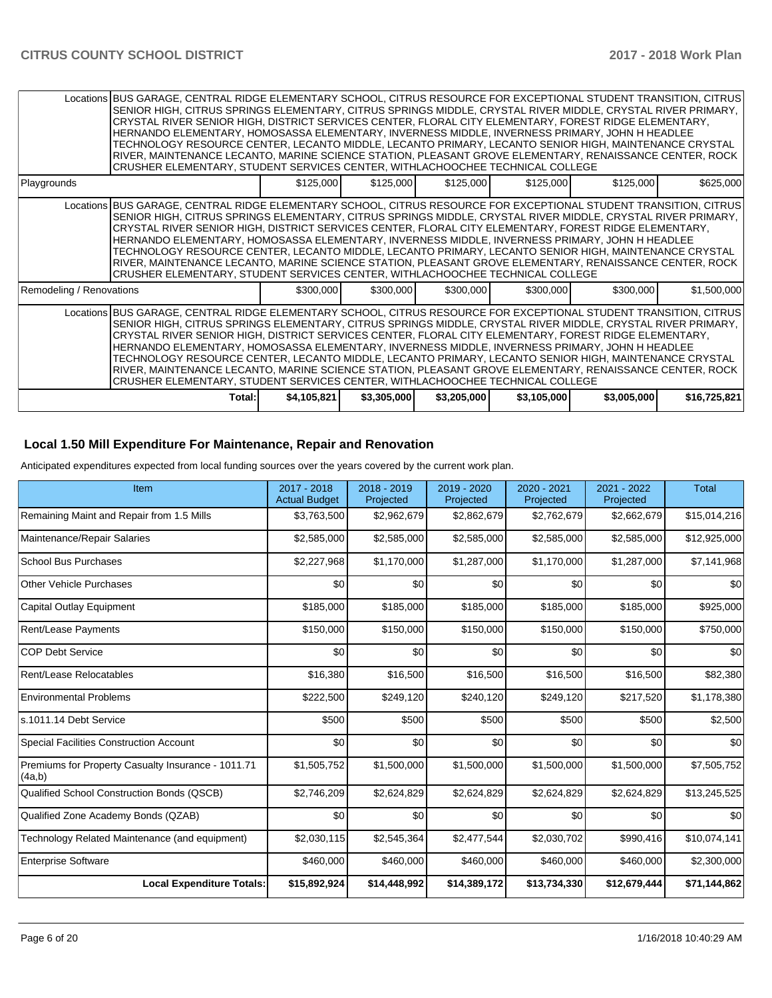|                          | Locations BUS GARAGE, CENTRAL RIDGE ELEMENTARY SCHOOL, CITRUS RESOURCE FOR EXCEPTIONAL STUDENT TRANSITION, CITRUS<br>SENIOR HIGH, CITRUS SPRINGS ELEMENTARY, CITRUS SPRINGS MIDDLE, CRYSTAL RIVER MIDDLE, CRYSTAL RIVER PRIMARY,<br>CRYSTAL RIVER SENIOR HIGH, DISTRICT SERVICES CENTER, FLORAL CITY ELEMENTARY, FOREST RIDGE ELEMENTARY,<br>HERNANDO ELEMENTARY, HOMOSASSA ELEMENTARY, INVERNESS MIDDLE, INVERNESS PRIMARY, JOHN H HEADLEE<br>TECHNOLOGY RESOURCE CENTER, LECANTO MIDDLE, LECANTO PRIMARY, LECANTO SENIOR HIGH, MAINTENANCE CRYSTAL<br>RIVER, MAINTENANCE LECANTO, MARINE SCIENCE STATION, PLEASANT GROVE ELEMENTARY, RENAISSANCE CENTER, ROCK<br>CRUSHER ELEMENTARY, STUDENT SERVICES CENTER, WITHLACHOOCHEE TECHNICAL COLLEGE |             |             |             |             |             |              |
|--------------------------|--------------------------------------------------------------------------------------------------------------------------------------------------------------------------------------------------------------------------------------------------------------------------------------------------------------------------------------------------------------------------------------------------------------------------------------------------------------------------------------------------------------------------------------------------------------------------------------------------------------------------------------------------------------------------------------------------------------------------------------------------|-------------|-------------|-------------|-------------|-------------|--------------|
| Playgrounds              |                                                                                                                                                                                                                                                                                                                                                                                                                                                                                                                                                                                                                                                                                                                                                  | \$125,000   | \$125,000   | \$125,000   | \$125,000   | \$125,000   | \$625,000    |
|                          | Locations BUS GARAGE, CENTRAL RIDGE ELEMENTARY SCHOOL, CITRUS RESOURCE FOR EXCEPTIONAL STUDENT TRANSITION, CITRUS<br>SENIOR HIGH, CITRUS SPRINGS ELEMENTARY, CITRUS SPRINGS MIDDLE, CRYSTAL RIVER MIDDLE, CRYSTAL RIVER PRIMARY,<br>CRYSTAL RIVER SENIOR HIGH, DISTRICT SERVICES CENTER, FLORAL CITY ELEMENTARY, FOREST RIDGE ELEMENTARY,<br>HERNANDO ELEMENTARY, HOMOSASSA ELEMENTARY, INVERNESS MIDDLE, INVERNESS PRIMARY, JOHN H HEADLEE<br>TECHNOLOGY RESOURCE CENTER, LECANTO MIDDLE, LECANTO PRIMARY, LECANTO SENIOR HIGH, MAINTENANCE CRYSTAL<br>RIVER, MAINTENANCE LECANTO, MARINE SCIENCE STATION, PLEASANT GROVE ELEMENTARY, RENAISSANCE CENTER, ROCK<br>CRUSHER ELEMENTARY, STUDENT SERVICES CENTER, WITHLACHOOCHEE TECHNICAL COLLEGE |             |             |             |             |             |              |
| Remodeling / Renovations |                                                                                                                                                                                                                                                                                                                                                                                                                                                                                                                                                                                                                                                                                                                                                  | \$300,000   | \$300,000   | \$300,000   | \$300,000   | \$300,000   | \$1,500,000  |
|                          | Locations BUS GARAGE, CENTRAL RIDGE ELEMENTARY SCHOOL, CITRUS RESOURCE FOR EXCEPTIONAL STUDENT TRANSITION, CITRUS<br>SENIOR HIGH, CITRUS SPRINGS ELEMENTARY, CITRUS SPRINGS MIDDLE, CRYSTAL RIVER MIDDLE, CRYSTAL RIVER PRIMARY,<br>CRYSTAL RIVER SENIOR HIGH, DISTRICT SERVICES CENTER, FLORAL CITY ELEMENTARY, FOREST RIDGE ELEMENTARY,<br>HERNANDO ELEMENTARY, HOMOSASSA ELEMENTARY, INVERNESS MIDDLE, INVERNESS PRIMARY, JOHN H HEADLEE<br>TECHNOLOGY RESOURCE CENTER, LECANTO MIDDLE, LECANTO PRIMARY, LECANTO SENIOR HIGH, MAINTENANCE CRYSTAL<br>RIVER, MAINTENANCE LECANTO, MARINE SCIENCE STATION, PLEASANT GROVE ELEMENTARY, RENAISSANCE CENTER, ROCK<br>CRUSHER ELEMENTARY, STUDENT SERVICES CENTER, WITHLACHOOCHEE TECHNICAL COLLEGE |             |             |             |             |             |              |
|                          | Total:I                                                                                                                                                                                                                                                                                                                                                                                                                                                                                                                                                                                                                                                                                                                                          | \$4,105,821 | \$3,305,000 | \$3,205,000 | \$3,105,000 | \$3,005,000 | \$16,725,821 |

### **Local 1.50 Mill Expenditure For Maintenance, Repair and Renovation**

Anticipated expenditures expected from local funding sources over the years covered by the current work plan.

| Item                                                         | 2017 - 2018<br><b>Actual Budget</b> | 2018 - 2019<br>Projected | 2019 - 2020<br>Projected | 2020 - 2021<br>Projected | 2021 - 2022<br>Projected | <b>Total</b> |
|--------------------------------------------------------------|-------------------------------------|--------------------------|--------------------------|--------------------------|--------------------------|--------------|
| Remaining Maint and Repair from 1.5 Mills                    | \$3,763,500                         | \$2,962,679              | \$2,862,679              | \$2,762,679              | \$2,662,679              | \$15,014,216 |
| Maintenance/Repair Salaries                                  | \$2,585,000                         | \$2,585,000              | \$2,585,000              | \$2,585,000              | \$2,585,000              | \$12,925,000 |
| <b>School Bus Purchases</b>                                  | \$2,227,968                         | \$1,170,000              | \$1,287,000              | \$1,170,000              | \$1,287,000              | \$7,141,968  |
| <b>Other Vehicle Purchases</b>                               | \$0                                 | \$0                      | \$0                      | \$0                      | \$0                      | \$0          |
| Capital Outlay Equipment                                     | \$185,000                           | \$185,000                | \$185,000                | \$185,000                | \$185,000                | \$925,000    |
| Rent/Lease Payments                                          | \$150,000                           | \$150,000                | \$150,000                | \$150,000                | \$150,000                | \$750,000    |
| <b>COP Debt Service</b>                                      | \$0                                 | \$0                      | \$0                      | \$0                      | \$0                      | \$0          |
| Rent/Lease Relocatables                                      | \$16,380                            | \$16,500                 | \$16,500                 | \$16,500                 | \$16,500                 | \$82,380     |
| <b>Environmental Problems</b>                                | \$222,500                           | \$249,120                | \$240,120                | \$249,120                | \$217,520                | \$1,178,380  |
| s.1011.14 Debt Service                                       | \$500                               | \$500                    | \$500                    | \$500                    | \$500                    | \$2,500      |
| <b>Special Facilities Construction Account</b>               | \$0                                 | \$0                      | \$0                      | \$0                      | \$0                      | \$0          |
| Premiums for Property Casualty Insurance - 1011.71<br>(4a,b) | \$1,505,752                         | \$1,500,000              | \$1,500,000              | \$1,500,000              | \$1,500,000              | \$7,505,752  |
| <b>Qualified School Construction Bonds (QSCB)</b>            | \$2,746,209                         | \$2,624,829              | \$2,624,829              | \$2,624,829              | \$2,624,829              | \$13,245,525 |
| Qualified Zone Academy Bonds (QZAB)                          | \$0                                 | \$0                      | \$0                      | \$0                      | \$0                      | \$0          |
| Technology Related Maintenance (and equipment)               | \$2,030,115                         | \$2,545,364              | \$2,477,544              | \$2,030,702              | \$990,416                | \$10,074,141 |
| <b>Enterprise Software</b>                                   | \$460,000                           | \$460,000                | \$460,000                | \$460,000                | \$460,000                | \$2,300,000  |
| <b>Local Expenditure Totals:</b>                             | \$15,892,924                        | \$14,448,992             | \$14,389,172             | \$13,734,330             | \$12,679,444             | \$71,144,862 |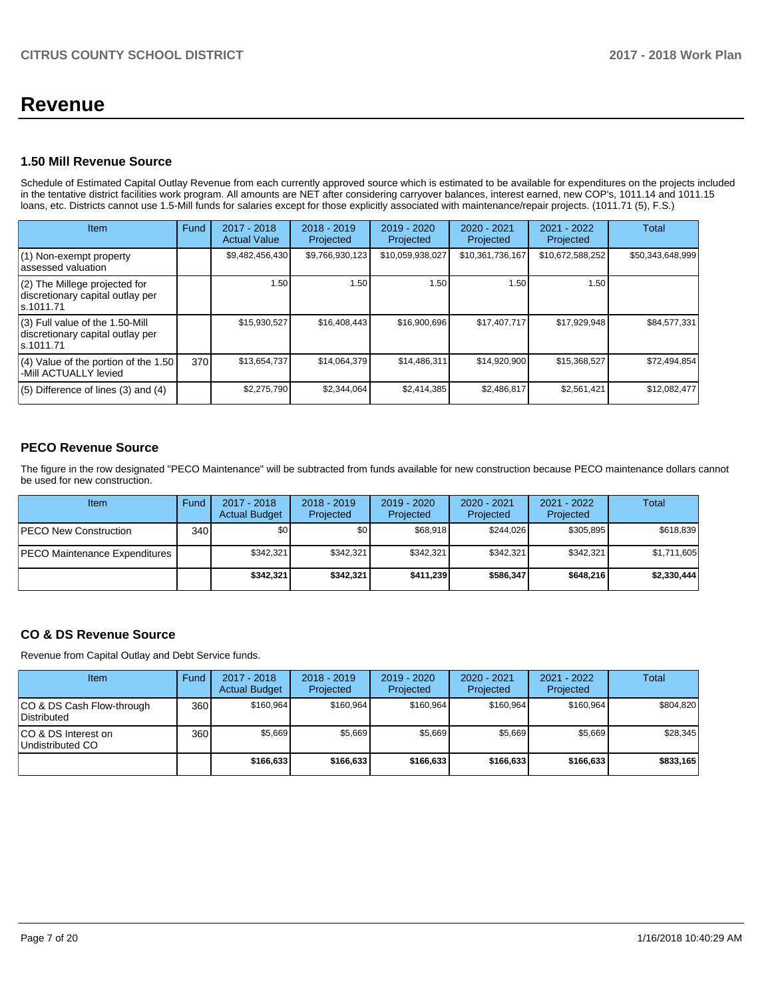## **Revenue**

### **1.50 Mill Revenue Source**

Schedule of Estimated Capital Outlay Revenue from each currently approved source which is estimated to be available for expenditures on the projects included in the tentative district facilities work program. All amounts are NET after considering carryover balances, interest earned, new COP's, 1011.14 and 1011.15 loans, etc. Districts cannot use 1.5-Mill funds for salaries except for those explicitly associated with maintenance/repair projects. (1011.71 (5), F.S.)

| Item                                                                                | Fund | $2017 - 2018$<br><b>Actual Value</b> | $2018 - 2019$<br>Projected | $2019 - 2020$<br>Projected | $2020 - 2021$<br>Projected | 2021 - 2022<br>Projected | <b>Total</b>     |
|-------------------------------------------------------------------------------------|------|--------------------------------------|----------------------------|----------------------------|----------------------------|--------------------------|------------------|
| (1) Non-exempt property<br>lassessed valuation                                      |      | \$9,482,456,430                      | \$9,766,930,123            | \$10,059,938,027           | \$10,361,736,167           | \$10,672,588,252         | \$50,343,648,999 |
| $(2)$ The Millege projected for<br>discretionary capital outlay per<br>ls.1011.71   |      | 1.50                                 | 1.50                       | 1.50                       | 1.50                       | 1.50                     |                  |
| $(3)$ Full value of the 1.50-Mill<br>discretionary capital outlay per<br>ls.1011.71 |      | \$15,930,527                         | \$16,408,443               | \$16,900,696               | \$17,407,717               | \$17,929,948             | \$84,577,331     |
| $(4)$ Value of the portion of the 1.50<br>-Mill ACTUALLY levied                     | 370  | \$13,654,737                         | \$14,064,379               | \$14,486,311               | \$14,920,900               | \$15,368,527             | \$72,494,854     |
| $(5)$ Difference of lines $(3)$ and $(4)$                                           |      | \$2,275,790                          | \$2.344.064                | \$2,414,385                | \$2,486,817                | \$2,561,421              | \$12,082,477     |

## **PECO Revenue Source**

The figure in the row designated "PECO Maintenance" will be subtracted from funds available for new construction because PECO maintenance dollars cannot be used for new construction.

| Item                                 | Fund | $2017 - 2018$<br><b>Actual Budget</b> | $2018 - 2019$<br>Projected | 2019 - 2020<br><b>Projected</b> | $2020 - 2021$<br>Projected | $2021 - 2022$<br>Projected | Total       |
|--------------------------------------|------|---------------------------------------|----------------------------|---------------------------------|----------------------------|----------------------------|-------------|
| <b>PECO New Construction</b>         | 340  | \$0                                   | \$0                        | \$68,918                        | \$244.026                  | \$305,895                  | \$618,839   |
| <b>PECO Maintenance Expenditures</b> |      | \$342.321                             | \$342,321                  | \$342.321                       | \$342.321                  | \$342,321                  | \$1,711,605 |
|                                      |      | \$342.321                             | \$342,321                  | \$411.239                       | \$586.347                  | \$648,216                  | \$2,330,444 |

## **CO & DS Revenue Source**

Revenue from Capital Outlay and Debt Service funds.

| Item                                      | Fund  | $2017 - 2018$<br><b>Actual Budget</b> | $2018 - 2019$<br>Projected | $2019 - 2020$<br>Projected | $2020 - 2021$<br>Projected | 2021 - 2022<br>Projected | <b>Total</b> |
|-------------------------------------------|-------|---------------------------------------|----------------------------|----------------------------|----------------------------|--------------------------|--------------|
| ICO & DS Cash Flow-through<br>Distributed | 360   | \$160.964                             | \$160,964                  | \$160.964                  | \$160.964                  | \$160,964                | \$804,820    |
| ICO & DS Interest on<br>Undistributed CO  | 360 l | \$5,669                               | \$5,669                    | \$5,669                    | \$5,669                    | \$5,669                  | \$28,345     |
|                                           |       | \$166,633                             | \$166,633                  | \$166,633                  | \$166.633                  | \$166,633                | \$833,165    |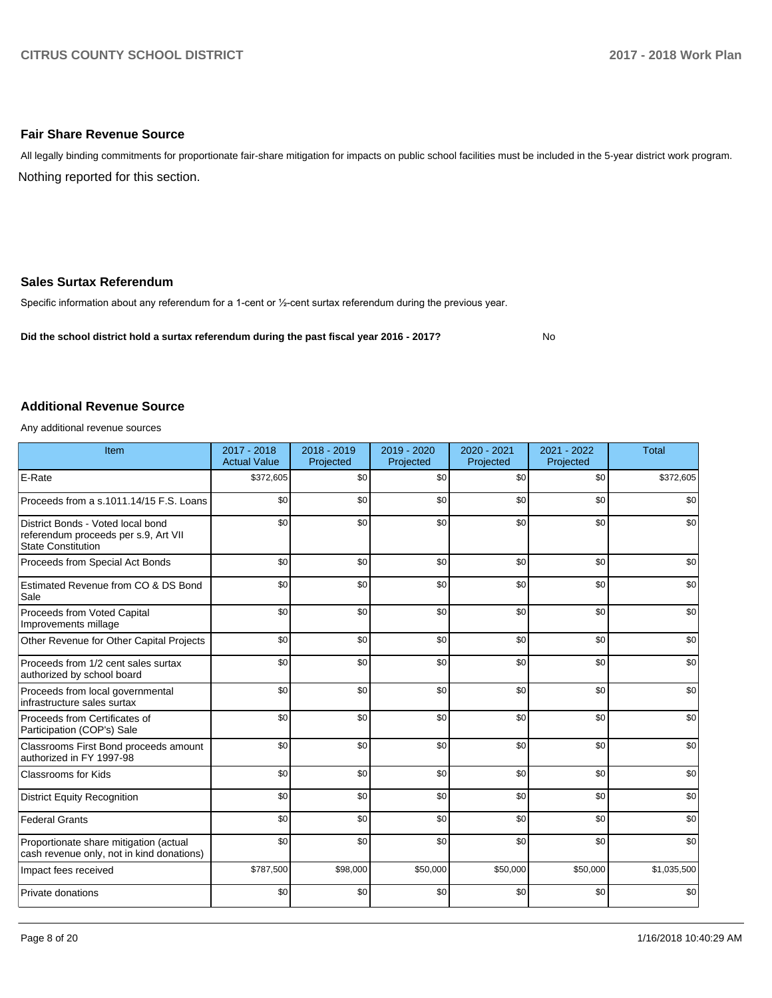### **Fair Share Revenue Source**

Nothing reported for this section. All legally binding commitments for proportionate fair-share mitigation for impacts on public school facilities must be included in the 5-year district work program.

### **Sales Surtax Referendum**

Specific information about any referendum for a 1-cent or 1/2-cent surtax referendum during the previous year.

**Did the school district hold a surtax referendum during the past fiscal year 2016 - 2017?**

No

#### **Additional Revenue Source**

Any additional revenue sources

| Item                                                                                                   | 2017 - 2018<br><b>Actual Value</b> | 2018 - 2019<br>Projected | 2019 - 2020<br>Projected | 2020 - 2021<br>Projected | 2021 - 2022<br>Projected | <b>Total</b> |
|--------------------------------------------------------------------------------------------------------|------------------------------------|--------------------------|--------------------------|--------------------------|--------------------------|--------------|
| E-Rate                                                                                                 | \$372,605                          | \$0                      | \$0                      | \$0                      | \$0                      | \$372,605    |
| Proceeds from a s.1011.14/15 F.S. Loans                                                                | \$0                                | \$0                      | \$0                      | \$0                      | \$0                      | \$0          |
| District Bonds - Voted local bond<br>referendum proceeds per s.9, Art VII<br><b>State Constitution</b> | \$0                                | \$0                      | \$0                      | \$0                      | \$0                      | \$0          |
| Proceeds from Special Act Bonds                                                                        | \$0                                | \$0                      | \$0                      | \$0                      | \$0                      | \$0          |
| Estimated Revenue from CO & DS Bond<br>Sale                                                            | \$0                                | \$0                      | \$0                      | \$0                      | \$0                      | \$0          |
| Proceeds from Voted Capital<br>Improvements millage                                                    | \$0                                | \$0                      | \$0                      | \$0                      | \$0                      | \$0          |
| Other Revenue for Other Capital Projects                                                               | \$0                                | \$0                      | \$0                      | \$0                      | \$0                      | \$0          |
| Proceeds from 1/2 cent sales surtax<br>authorized by school board                                      | \$0                                | \$0                      | \$0                      | \$0                      | \$0                      | \$0          |
| Proceeds from local governmental<br>infrastructure sales surtax                                        | \$0                                | \$0                      | \$0                      | \$0                      | \$0                      | \$0          |
| Proceeds from Certificates of<br>Participation (COP's) Sale                                            | \$0                                | \$0                      | \$0                      | \$0                      | \$0                      | \$0          |
| Classrooms First Bond proceeds amount<br>authorized in FY 1997-98                                      | \$0                                | \$0                      | \$0                      | \$0                      | \$0                      | \$0          |
| <b>Classrooms for Kids</b>                                                                             | \$0                                | \$0                      | \$0                      | \$0                      | \$0                      | \$0          |
| <b>District Equity Recognition</b>                                                                     | \$0                                | \$0                      | \$0                      | \$0                      | \$0                      | \$0          |
| Federal Grants                                                                                         | \$0                                | \$0                      | \$0                      | \$0                      | \$0                      | \$0          |
| Proportionate share mitigation (actual<br>cash revenue only, not in kind donations)                    | \$0                                | \$0                      | \$0                      | \$0                      | \$0                      | \$0          |
| Impact fees received                                                                                   | \$787,500                          | \$98,000                 | \$50,000                 | \$50,000                 | \$50,000                 | \$1,035,500  |
| Private donations                                                                                      | \$0                                | \$0                      | \$0                      | \$0                      | \$0                      | \$0          |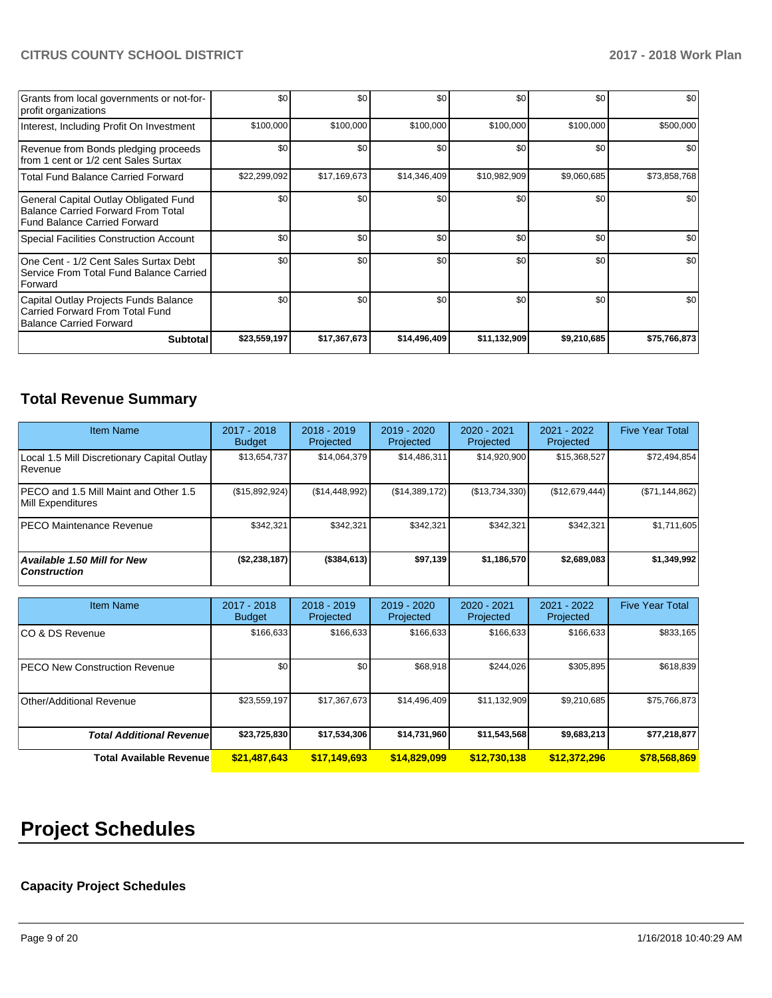| Grants from local governments or not-for-<br>profit organizations                                                         | \$0              | \$0          | \$0          | \$0          | \$0         | \$0          |
|---------------------------------------------------------------------------------------------------------------------------|------------------|--------------|--------------|--------------|-------------|--------------|
| Interest, Including Profit On Investment                                                                                  | \$100,000        | \$100,000    | \$100,000    | \$100,000    | \$100,000   | \$500,000    |
| Revenue from Bonds pledging proceeds<br>from 1 cent or 1/2 cent Sales Surtax                                              | \$0              | \$0          | \$0          | \$0          | \$0         | \$0          |
| <b>Total Fund Balance Carried Forward</b>                                                                                 | \$22,299,092     | \$17,169,673 | \$14,346,409 | \$10,982,909 | \$9,060,685 | \$73,858,768 |
| General Capital Outlay Obligated Fund<br><b>Balance Carried Forward From Total</b><br><b>Fund Balance Carried Forward</b> | \$0              | \$0          | \$0          | \$0          | \$0         | \$0          |
| <b>Special Facilities Construction Account</b>                                                                            | \$0              | \$0          | \$0          | \$0          | \$0         | \$0          |
| One Cent - 1/2 Cent Sales Surtax Debt<br>Service From Total Fund Balance Carried<br>Forward                               | \$0 <sub>1</sub> | \$0          | \$0          | \$0          | \$0         | \$0          |
| Capital Outlay Projects Funds Balance<br>Carried Forward From Total Fund<br><b>Balance Carried Forward</b>                | \$0              | \$0          | \$0          | \$0          | \$0         | \$0          |
| <b>Subtotal</b>                                                                                                           | \$23,559,197     | \$17,367,673 | \$14,496,409 | \$11,132,909 | \$9,210,685 | \$75,766,873 |

## **Total Revenue Summary**

| <b>Item Name</b>                                              | 2017 - 2018<br><b>Budget</b> | $2018 - 2019$<br>Projected | 2019 - 2020<br>Projected | $2020 - 2021$<br>Projected | 2021 - 2022<br>Projected | <b>Five Year Total</b> |
|---------------------------------------------------------------|------------------------------|----------------------------|--------------------------|----------------------------|--------------------------|------------------------|
| Local 1.5 Mill Discretionary Capital Outlay<br><b>Revenue</b> | \$13,654,737                 | \$14,064,379               | \$14,486,311             | \$14,920,900               | \$15,368,527             | \$72,494,854           |
| PECO and 1.5 Mill Maint and Other 1.5<br>Mill Expenditures    | (\$15,892,924)               | (S14, 448, 992)            | (S14, 389, 172)          | (S13,734,330)              | (\$12,679,444)           | (\$71,144,862)         |
| <b>PECO Maintenance Revenue</b>                               | \$342,321                    | \$342,321                  | \$342.321                | \$342.321                  | \$342.321                | \$1,711,605            |
| Available 1.50 Mill for New<br><b>Construction</b>            | (\$2,238,187)                | $($ \$384,613)             | \$97,139                 | \$1,186,570                | \$2,689,083              | \$1,349,992            |

| <b>Item Name</b>                     | 2017 - 2018<br><b>Budget</b> | $2018 - 2019$<br>Projected | $2019 - 2020$<br>Projected | 2020 - 2021<br>Projected | 2021 - 2022<br>Projected | <b>Five Year Total</b> |
|--------------------------------------|------------------------------|----------------------------|----------------------------|--------------------------|--------------------------|------------------------|
| ICO & DS Revenue                     | \$166,633                    | \$166,633                  | \$166,633                  | \$166,633                | \$166,633                | \$833,165              |
| <b>PECO New Construction Revenue</b> | \$0                          | \$0 <sub>1</sub>           | \$68.918                   | \$244,026                | \$305,895                | \$618,839              |
| Other/Additional Revenue             | \$23,559,197                 | \$17,367,673               | \$14,496,409               | \$11,132,909             | \$9,210,685              | \$75,766,873           |
| <b>Total Additional Revenuel</b>     | \$23,725,830                 | \$17,534,306               | \$14,731,960               | \$11,543,568             | \$9,683,213              | \$77,218,877           |
| <b>Total Available Revenue</b>       | \$21,487,643                 | \$17,149,693               | \$14,829,099               | \$12,730,138             | \$12,372,296             | \$78,568,869           |

# **Project Schedules**

## **Capacity Project Schedules**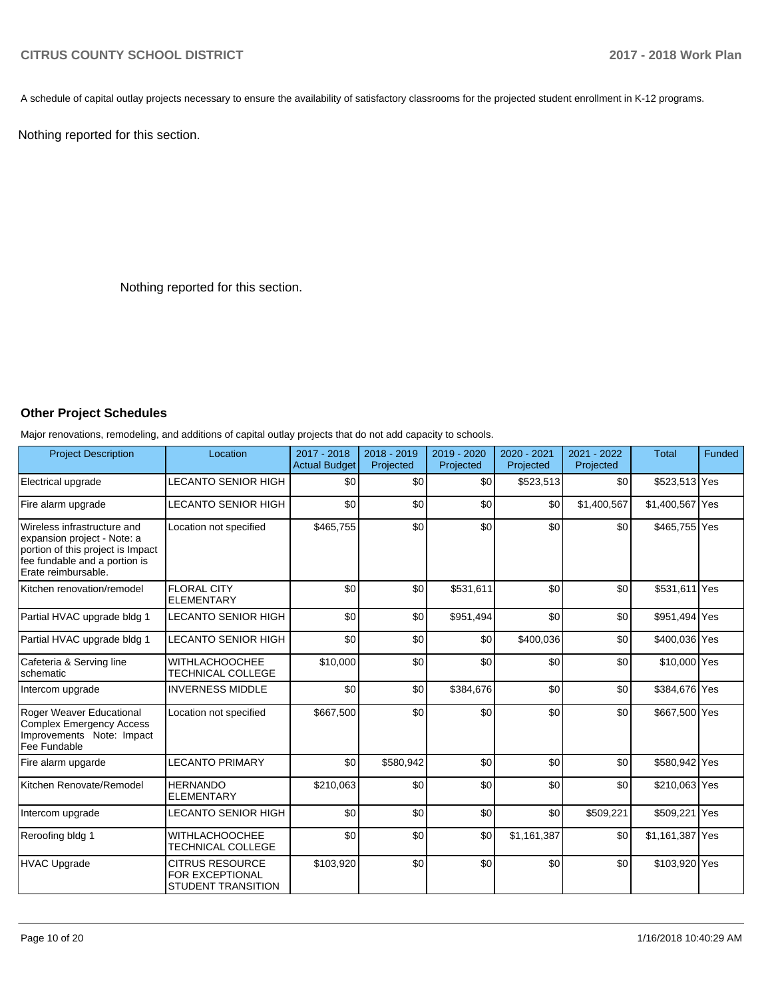A schedule of capital outlay projects necessary to ensure the availability of satisfactory classrooms for the projected student enrollment in K-12 programs.

Nothing reported for this section.

Nothing reported for this section.

### **Other Project Schedules**

Major renovations, remodeling, and additions of capital outlay projects that do not add capacity to schools.

| <b>Project Description</b>                                                                                                                              | Location                                                               | 2017 - 2018<br><b>Actual Budget</b> | $2018 - 2019$<br>Projected | 2019 - 2020<br>Projected | 2020 - 2021<br>Projected | $2021 - 2022$<br>Projected | <b>Total</b>    | Funded |
|---------------------------------------------------------------------------------------------------------------------------------------------------------|------------------------------------------------------------------------|-------------------------------------|----------------------------|--------------------------|--------------------------|----------------------------|-----------------|--------|
| Electrical upgrade                                                                                                                                      | LECANTO SENIOR HIGH                                                    | \$0                                 | \$0                        | \$0                      | \$523,513                | \$0                        | \$523,513 Yes   |        |
| Fire alarm upgrade                                                                                                                                      | LECANTO SENIOR HIGH                                                    | \$0                                 | \$0                        | \$0                      | \$0                      | \$1,400,567                | \$1,400,567 Yes |        |
| Wireless infrastructure and<br>expansion project - Note: a<br>portion of this project is Impact<br>fee fundable and a portion is<br>Erate reimbursable. | Location not specified                                                 | \$465,755                           | \$0                        | \$0                      | \$0                      | \$0                        | \$465,755 Yes   |        |
| Kitchen renovation/remodel                                                                                                                              | <b>FLORAL CITY</b><br><b>ELEMENTARY</b>                                | \$0                                 | \$0                        | \$531,611                | \$0                      | \$0                        | \$531,611 Yes   |        |
| Partial HVAC upgrade bldg 1                                                                                                                             | <b>LECANTO SENIOR HIGH</b>                                             | \$0                                 | \$0                        | \$951,494                | \$0                      | \$0                        | \$951,494 Yes   |        |
| Partial HVAC upgrade bldg 1                                                                                                                             | <b>LECANTO SENIOR HIGH</b>                                             | \$0                                 | \$0                        | \$0                      | \$400,036                | \$0                        | \$400,036 Yes   |        |
| Cafeteria & Serving line<br>schematic                                                                                                                   | <b>WITHLACHOOCHEE</b><br><b>TECHNICAL COLLEGE</b>                      | \$10,000                            | \$0                        | \$0                      | \$0                      | \$0                        | \$10,000 Yes    |        |
| Intercom upgrade                                                                                                                                        | <b>INVERNESS MIDDLE</b>                                                | \$0                                 | \$0                        | \$384,676                | \$0                      | \$0                        | \$384,676 Yes   |        |
| Roger Weaver Educational<br>Complex Emergency Access<br>Improvements Note: Impact<br>Fee Fundable                                                       | Location not specified                                                 | \$667,500                           | \$0                        | \$0                      | \$0                      | \$0                        | \$667,500 Yes   |        |
| Fire alarm upgarde                                                                                                                                      | <b>LECANTO PRIMARY</b>                                                 | \$0                                 | \$580,942                  | \$0                      | \$0                      | \$0                        | \$580,942 Yes   |        |
| Kitchen Renovate/Remodel                                                                                                                                | <b>HERNANDO</b><br><b>ELEMENTARY</b>                                   | \$210,063                           | \$0                        | \$0                      | \$0                      | \$0                        | \$210,063 Yes   |        |
| Intercom upgrade                                                                                                                                        | LECANTO SENIOR HIGH                                                    | \$0                                 | \$0                        | \$0                      | \$0                      | \$509,221                  | \$509,221 Yes   |        |
| Reroofing bldg 1                                                                                                                                        | <b>WITHLACHOOCHEE</b><br>TECHNICAL COLLEGE                             | \$0                                 | \$0                        | \$0                      | \$1,161,387              | \$0                        | \$1,161,387 Yes |        |
| <b>HVAC Upgrade</b>                                                                                                                                     | <b>CITRUS RESOURCE</b><br>FOR EXCEPTIONAL<br><b>STUDENT TRANSITION</b> | \$103,920                           | \$0                        | \$0                      | \$0                      | \$0                        | \$103,920 Yes   |        |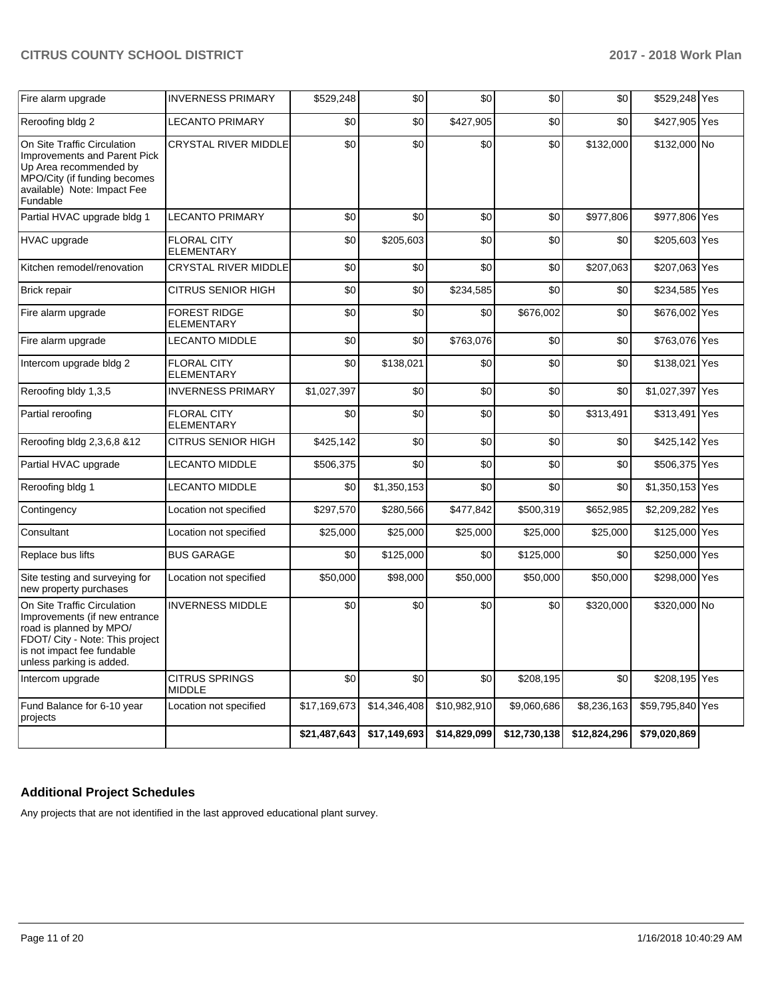| Fire alarm upgrade                                                                                                                                                                   | <b>INVERNESS PRIMARY</b>                 | \$529,248    | \$0          | \$0          | \$0          | \$0          | \$529,248 Yes    |     |
|--------------------------------------------------------------------------------------------------------------------------------------------------------------------------------------|------------------------------------------|--------------|--------------|--------------|--------------|--------------|------------------|-----|
| Reroofing bldg 2                                                                                                                                                                     | <b>LECANTO PRIMARY</b>                   | \$0          | \$0          | \$427,905    | \$0          | \$0          | \$427,905        | Yes |
| On Site Traffic Circulation<br><b>Improvements and Parent Pick</b><br>Up Area recommended by<br>MPO/City (if funding becomes<br>available) Note: Impact Fee<br>Fundable              | <b>CRYSTAL RIVER MIDDLE</b>              | \$0          | \$0          | \$0          | \$0          | \$132,000    | \$132,000 No     |     |
| Partial HVAC upgrade bldg 1                                                                                                                                                          | <b>LECANTO PRIMARY</b>                   | \$0          | \$0          | \$0          | \$0          | \$977,806    | \$977,806        | Yes |
| <b>HVAC</b> upgrade                                                                                                                                                                  | <b>FLORAL CITY</b><br><b>ELEMENTARY</b>  | \$0          | \$205,603    | \$0          | \$0          | \$0          | \$205,603 Yes    |     |
| Kitchen remodel/renovation                                                                                                                                                           | CRYSTAL RIVER MIDDLE                     | \$0          | \$0          | \$0          | \$0          | \$207,063    | \$207,063 Yes    |     |
| Brick repair                                                                                                                                                                         | <b>CITRUS SENIOR HIGH</b>                | \$0          | \$0          | \$234,585    | \$0          | \$0          | \$234,585        | Yes |
| Fire alarm upgrade                                                                                                                                                                   | <b>FOREST RIDGE</b><br><b>ELEMENTARY</b> | \$0          | \$0          | \$0          | \$676,002    | \$0          | \$676,002 Yes    |     |
| Fire alarm upgrade                                                                                                                                                                   | <b>LECANTO MIDDLE</b>                    | \$0          | \$0          | \$763,076    | \$0          | \$0          | \$763,076 Yes    |     |
| Intercom upgrade bldg 2                                                                                                                                                              | <b>FLORAL CITY</b><br><b>ELEMENTARY</b>  | \$0          | \$138,021    | \$0          | \$0          | \$0          | \$138,021 Yes    |     |
| Reroofing bldy 1,3,5                                                                                                                                                                 | <b>INVERNESS PRIMARY</b>                 | \$1,027,397  | \$0          | \$0          | \$0          | \$0          | \$1,027,397 Yes  |     |
| Partial reroofing                                                                                                                                                                    | <b>FLORAL CITY</b><br><b>ELEMENTARY</b>  | \$0          | \$0          | \$0          | \$0          | \$313,491    | \$313,491        | Yes |
| Reroofing bldg 2,3,6,8 &12                                                                                                                                                           | CITRUS SENIOR HIGH                       | \$425,142    | \$0          | \$0          | \$0          | \$0          | \$425,142 Yes    |     |
| Partial HVAC upgrade                                                                                                                                                                 | <b>LECANTO MIDDLE</b>                    | \$506,375    | \$0          | \$0          | \$0          | \$0          | \$506,375 Yes    |     |
| Reroofing bldg 1                                                                                                                                                                     | <b>LECANTO MIDDLE</b>                    | \$0          | \$1,350,153  | \$0          | \$0          | \$0          | \$1,350,153 Yes  |     |
| Contingency                                                                                                                                                                          | Location not specified                   | \$297,570    | \$280,566    | \$477,842    | \$500,319    | \$652,985    | \$2,209,282 Yes  |     |
| Consultant                                                                                                                                                                           | Location not specified                   | \$25,000     | \$25,000     | \$25,000     | \$25,000     | \$25,000     | \$125,000 Yes    |     |
| Replace bus lifts                                                                                                                                                                    | <b>BUS GARAGE</b>                        | \$0          | \$125,000    | \$0          | \$125,000    | \$0          | \$250,000 Yes    |     |
| Site testing and surveying for<br>new property purchases                                                                                                                             | Location not specified                   | \$50,000     | \$98,000     | \$50,000     | \$50,000     | \$50,000     | \$298,000 Yes    |     |
| On Site Traffic Circulation<br>Improvements (if new entrance<br>road is planned by MPO/<br>FDOT/ City - Note: This project<br>is not impact fee fundable<br>unless parking is added. | <b>INVERNESS MIDDLE</b>                  | \$0          | \$0          | \$0          | \$0          | \$320,000    | \$320,000 No     |     |
| Intercom upgrade                                                                                                                                                                     | <b>CITRUS SPRINGS</b><br><b>MIDDLE</b>   | \$0          | \$0          | \$0          | \$208,195    | \$0          | \$208,195 Yes    |     |
| Fund Balance for 6-10 year<br>projects                                                                                                                                               | Location not specified                   | \$17,169,673 | \$14,346,408 | \$10,982,910 | \$9,060,686  | \$8,236,163  | \$59,795,840 Yes |     |
|                                                                                                                                                                                      |                                          | \$21,487,643 | \$17,149,693 | \$14,829,099 | \$12,730,138 | \$12,824,296 | \$79,020,869     |     |

## **Additional Project Schedules**

Any projects that are not identified in the last approved educational plant survey.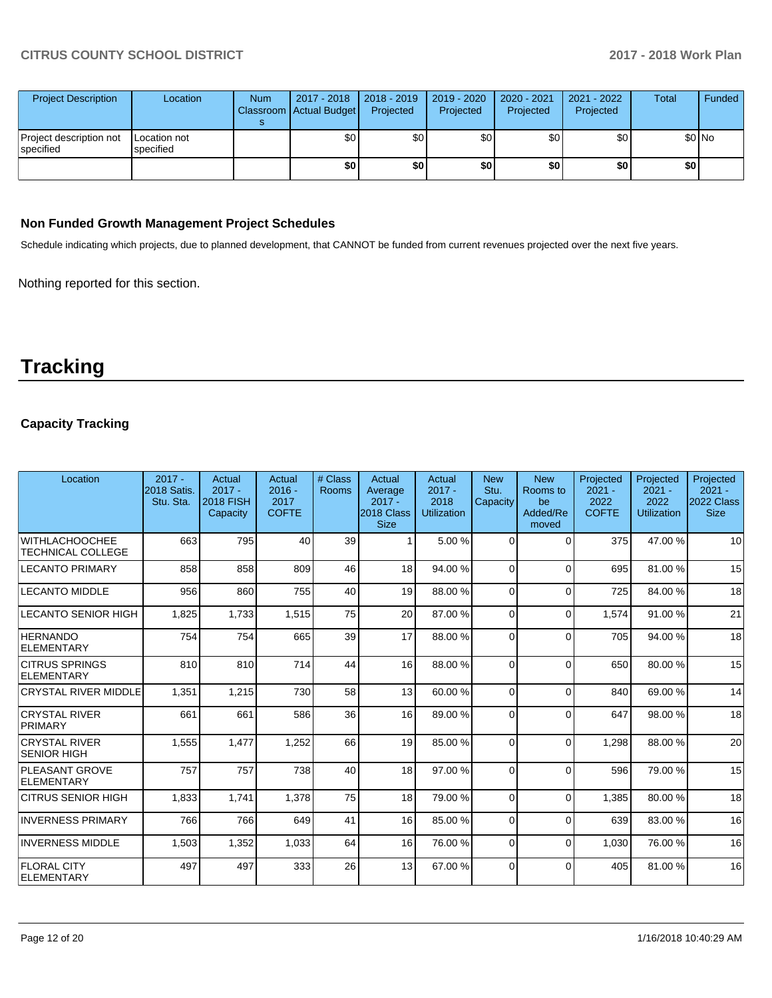| <b>Project Description</b>           | Location                  | <b>Num</b> | 2017 - 2018<br>Classroom Actual Budget | $2018 - 2019$<br>Projected | 2019 - 2020<br>Projected | 2020 - 2021<br>Projected | 2021 - 2022<br>Projected | <b>Total</b> | Funded |
|--------------------------------------|---------------------------|------------|----------------------------------------|----------------------------|--------------------------|--------------------------|--------------------------|--------------|--------|
| Project description not<br>specified | Location not<br>specified |            | \$0                                    | \$0 <sub>1</sub>           | \$0                      | \$0                      | \$0                      | \$0 No       |        |
|                                      |                           |            | \$0                                    | \$0                        | \$0                      | \$0                      | \$0                      | \$0          |        |

### **Non Funded Growth Management Project Schedules**

Schedule indicating which projects, due to planned development, that CANNOT be funded from current revenues projected over the next five years.

Nothing reported for this section.

# **Tracking**

## **Capacity Tracking**

| Location                                          | $2017 -$<br><b>2018 Satis.</b><br>Stu. Sta. | Actual<br>$2017 -$<br><b>2018 FISH</b><br>Capacity | Actual<br>$2016 -$<br>2017<br><b>COFTE</b> | # Class<br>Rooms | Actual<br>Average<br>$2017 -$<br>2018 Class<br><b>Size</b> | Actual<br>$2017 -$<br>2018<br><b>Utilization</b> | <b>New</b><br>Stu.<br>Capacity | <b>New</b><br>Rooms to<br>be<br>Added/Re<br>moved | Projected<br>$2021 -$<br>2022<br><b>COFTE</b> | Projected<br>$2021 -$<br>2022<br><b>Utilization</b> | Projected<br>$2021 -$<br>2022 Class<br><b>Size</b> |
|---------------------------------------------------|---------------------------------------------|----------------------------------------------------|--------------------------------------------|------------------|------------------------------------------------------------|--------------------------------------------------|--------------------------------|---------------------------------------------------|-----------------------------------------------|-----------------------------------------------------|----------------------------------------------------|
| <b>WITHLACHOOCHEE</b><br><b>TECHNICAL COLLEGE</b> | 663                                         | 795                                                | 40                                         | 39               |                                                            | 5.00 %                                           | $\Omega$                       | $\Omega$                                          | 375                                           | 47.00 %                                             | 10                                                 |
| <b>LECANTO PRIMARY</b>                            | 858                                         | 858                                                | 809                                        | 46               | 18                                                         | 94.00 %                                          | $\Omega$                       | $\Omega$                                          | 695                                           | 81.00 %                                             | 15                                                 |
| <b>LECANTO MIDDLE</b>                             | 956                                         | 860                                                | 755                                        | 40               | 19                                                         | 88.00 %                                          | $\Omega$                       | $\Omega$                                          | 725                                           | 84.00 %                                             | 18                                                 |
| <b>LECANTO SENIOR HIGH</b>                        | 1,825                                       | 1,733                                              | 1,515                                      | 75               | 20                                                         | 87.00 %                                          | 0                              | $\Omega$                                          | 1,574                                         | 91.00 %                                             | 21                                                 |
| <b>HERNANDO</b><br>ELEMENTARY                     | 754                                         | 754                                                | 665                                        | 39               | 17                                                         | 88.00 %                                          | $\Omega$                       | $\Omega$                                          | 705                                           | 94.00 %                                             | 18                                                 |
| <b>CITRUS SPRINGS</b><br>ELEMENTARY               | 810                                         | 810                                                | 714                                        | 44               | 16                                                         | 88.00 %                                          | $\Omega$                       | $\Omega$                                          | 650                                           | 80.00 %                                             | 15                                                 |
| <b>CRYSTAL RIVER MIDDLE</b>                       | 1,351                                       | 1,215                                              | 730                                        | 58               | 13                                                         | 60.00 %                                          | $\Omega$                       | $\Omega$                                          | 840                                           | 69.00 %                                             | 14                                                 |
| <b>CRYSTAL RIVER</b><br>PRIMARY                   | 661                                         | 661                                                | 586                                        | 36               | 16                                                         | 89.00 %                                          | 0                              | $\Omega$                                          | 647                                           | 98.00 %                                             | 18                                                 |
| <b>CRYSTAL RIVER</b><br> SENIOR HIGH              | 1,555                                       | 1,477                                              | 1,252                                      | 66               | 19                                                         | 85.00 %                                          | $\Omega$                       | $\Omega$                                          | 1,298                                         | 88.00 %                                             | 20                                                 |
| <b>PLEASANT GROVE</b><br>ELEMENTARY               | 757                                         | 757                                                | 738                                        | 40               | 18                                                         | 97.00 %                                          | $\Omega$                       | $\Omega$                                          | 596                                           | 79.00 %                                             | 15                                                 |
| CITRUS SENIOR HIGH                                | 1,833                                       | 1.741                                              | 1,378                                      | 75               | 18                                                         | 79.00 %                                          | $\Omega$                       | $\Omega$                                          | 1.385                                         | 80.00 %                                             | 18                                                 |
| <b>INVERNESS PRIMARY</b>                          | 766                                         | 766                                                | 649                                        | 41               | 16                                                         | 85.00 %                                          | $\Omega$                       | $\Omega$                                          | 639                                           | 83.00 %                                             | 16                                                 |
| <b>INVERNESS MIDDLE</b>                           | 1,503                                       | 1,352                                              | 1,033                                      | 64               | 16                                                         | 76.00 %                                          | $\Omega$                       | $\Omega$                                          | 1,030                                         | 76.00 %                                             | 16                                                 |
| <b>FLORAL CITY</b><br>ELEMENTARY                  | 497                                         | 497                                                | 333                                        | 26               | 13                                                         | 67.00 %                                          | $\Omega$                       | $\Omega$                                          | 405                                           | 81.00%                                              | 16                                                 |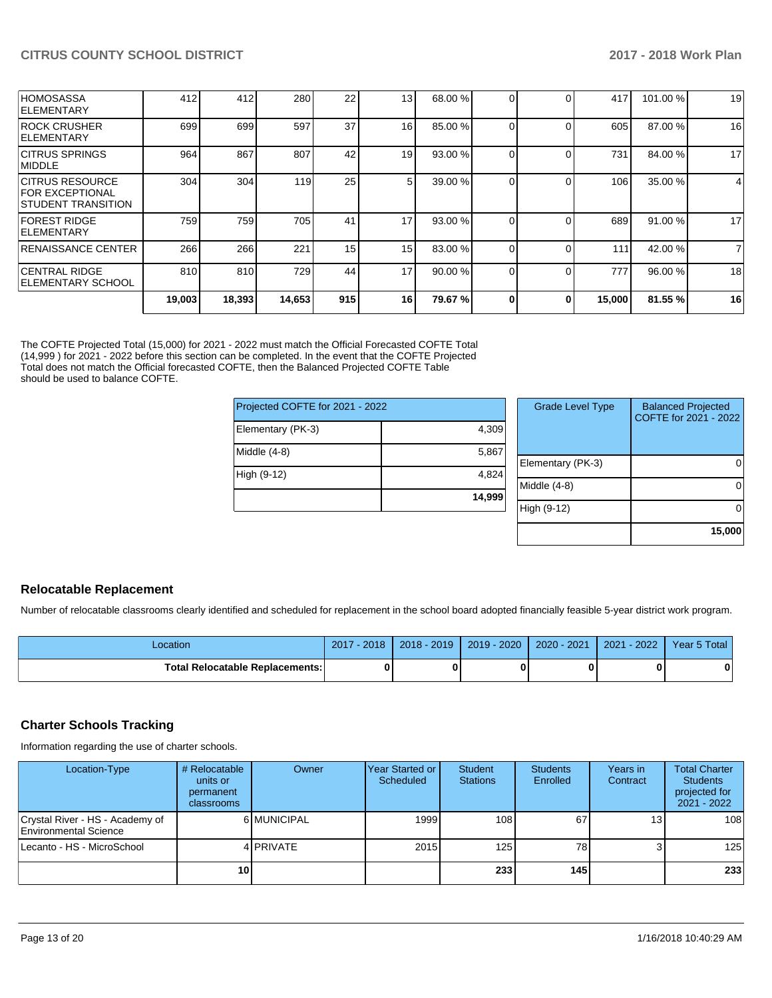| <b>IELEMENTARY SCHOOL</b>                                               | 810 | 810 | 729 | 44              | 17             | 90.00 % |  | 777 | 96.00 % | 18 |
|-------------------------------------------------------------------------|-----|-----|-----|-----------------|----------------|---------|--|-----|---------|----|
| <b>CENTRAL RIDGE</b>                                                    |     |     |     |                 |                |         |  |     |         |    |
| RENAISSANCE CENTER                                                      | 266 | 266 | 221 | 15              | 15             | 83.00 % |  | 111 | 42.00 % | 7  |
| <b>FOREST RIDGE</b><br><b>IELEMENTARY</b>                               | 759 | 759 | 705 | 41              | 17             | 93.00 % |  | 689 | 91.00 % | 17 |
| ICITRUS RESOURCE<br><b>FOR EXCEPTIONAL</b><br><b>STUDENT TRANSITION</b> | 304 | 304 | 119 | 25              | 5 <sup>1</sup> | 39.00 % |  | 106 | 35.00 % | 4  |
| <b>CITRUS SPRINGS</b><br><b>IMIDDLE</b>                                 | 964 | 867 | 807 | 42              | 19             | 93.00 % |  | 731 | 84.00 % | 17 |
| <b>ROCK CRUSHER</b><br>IELEMENTARY                                      | 699 | 699 | 597 | 37              | 16             | 85.00 % |  | 605 | 87.00 % | 16 |
| <b>HOMOSASSA</b><br><b>IELEMENTARY</b>                                  | 412 | 412 | 280 | 22 <sub>1</sub> | 13             | 68.00 % |  | 417 | 101.00% | 19 |

The COFTE Projected Total (15,000) for 2021 - 2022 must match the Official Forecasted COFTE Total (14,999 ) for 2021 - 2022 before this section can be completed. In the event that the COFTE Projected Total does not match the Official forecasted COFTE, then the Balanced Projected COFTE Table should be used to balance COFTE.

| Projected COFTE for 2021 - 2022 |        |   |
|---------------------------------|--------|---|
| Elementary (PK-3)               | 4,309  |   |
| Middle (4-8)                    | 5,867  | F |
| High (9-12)                     | 4,824  | N |
|                                 | 14,999 |   |

| <b>Grade Level Type</b> | <b>Balanced Projected</b><br>COFTE for 2021 - 2022 |
|-------------------------|----------------------------------------------------|
| Elementary (PK-3)       |                                                    |
| Middle (4-8)            |                                                    |
| High (9-12)             |                                                    |
|                         | 15,000                                             |

### **Relocatable Replacement**

Number of relocatable classrooms clearly identified and scheduled for replacement in the school board adopted financially feasible 5-year district work program.

| .ocation                               | $-2018$<br>2017 | 2018 - 2019 | $2019 - 2020$ | 2020 - 2021 | 2021 - 2022 | Year 5 Total |
|----------------------------------------|-----------------|-------------|---------------|-------------|-------------|--------------|
| <b>Total Relocatable Replacements:</b> |                 |             |               |             |             | 0            |

### **Charter Schools Tracking**

Information regarding the use of charter schools.

| Location-Type                                            | # Relocatable<br>units or<br>permanent<br>classrooms | Owner            | Year Started or<br>Scheduled | Student<br><b>Stations</b> | <b>Students</b><br>Enrolled | Years in<br>Contract | <b>Total Charter</b><br><b>Students</b><br>projected for<br>$2021 - 2022$ |
|----------------------------------------------------------|------------------------------------------------------|------------------|------------------------------|----------------------------|-----------------------------|----------------------|---------------------------------------------------------------------------|
| Crystal River - HS - Academy of<br>Environmental Science |                                                      | 6 MUNICIPAL      | 1999                         | 108                        | 67                          | 13 <sub>1</sub>      | 108                                                                       |
| Lecanto - HS - MicroSchool                               |                                                      | 4 <b>PRIVATE</b> | 2015                         | 1251                       | 78                          |                      | 125                                                                       |
|                                                          | 10                                                   |                  |                              | 233                        | 145                         |                      | 233                                                                       |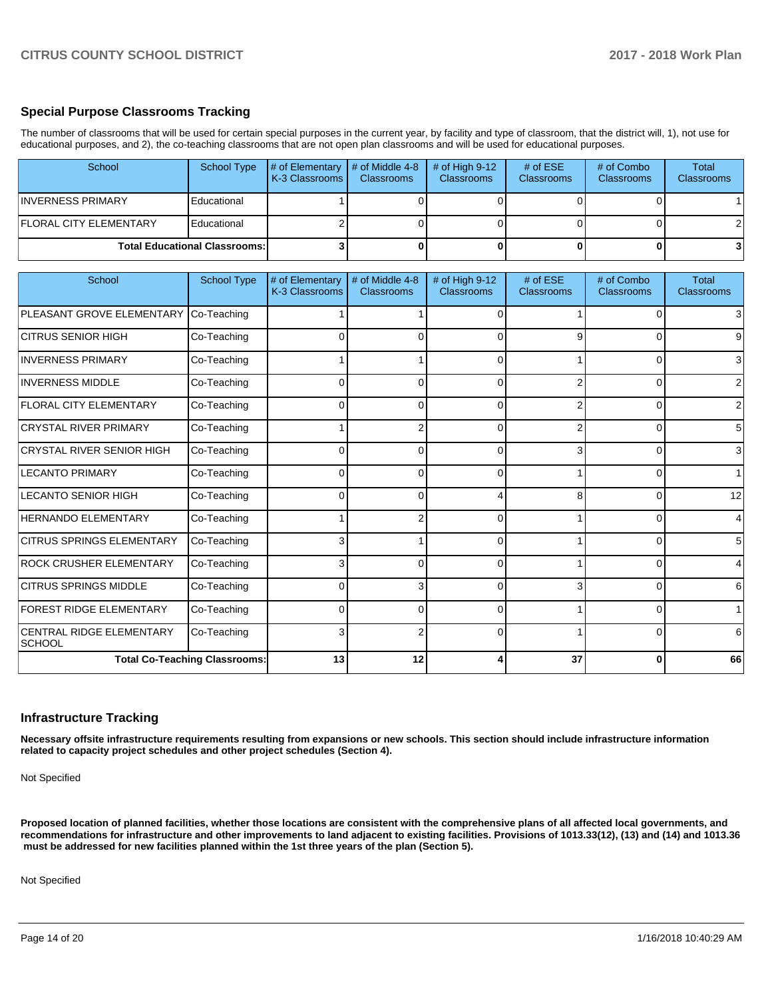### **Special Purpose Classrooms Tracking**

The number of classrooms that will be used for certain special purposes in the current year, by facility and type of classroom, that the district will, 1), not use for educational purposes, and 2), the co-teaching classrooms that are not open plan classrooms and will be used for educational purposes.

| School                           | <b>School Type</b>                   | # of Elementary<br>K-3 Classrooms | # of Middle 4-8<br>Classrooms | # of High $9-12$<br>Classrooms | # of ESE<br><b>Classrooms</b> | # of Combo<br>Classrooms | <b>Total</b><br><b>Classrooms</b> |
|----------------------------------|--------------------------------------|-----------------------------------|-------------------------------|--------------------------------|-------------------------------|--------------------------|-----------------------------------|
| <b>INVERNESS PRIMARY</b>         | Educational                          |                                   | $\Omega$                      | n                              | $\Omega$                      |                          |                                   |
| <b>FLORAL CITY ELEMENTARY</b>    | Educational                          |                                   | U                             |                                | U                             |                          |                                   |
|                                  | <b>Total Educational Classrooms:</b> |                                   | $\Omega$                      | 0                              | $\mathbf{0}$                  | 0                        | 3                                 |
| School                           | <b>School Type</b>                   | # of Elementary                   | # of Middle 4-8               | # of High 9-12                 | # of ESE                      | # of Combo               | <b>Total</b>                      |
|                                  |                                      | K-3 Classrooms                    | <b>Classrooms</b>             | Classrooms                     | <b>Classrooms</b>             | <b>Classrooms</b>        | <b>Classrooms</b>                 |
| PLEASANT GROVE ELEMENTARY        | Co-Teaching                          |                                   |                               | $\Omega$                       |                               | $\Omega$                 | 3                                 |
| <b>CITRUS SENIOR HIGH</b>        | Co-Teaching                          |                                   | 0                             |                                | g                             | ∩                        | 9                                 |
| <b>INVERNESS PRIMARY</b>         | Co-Teaching                          |                                   |                               | $\Omega$                       |                               | $\Omega$                 | 3                                 |
| <b>INVERNESS MIDDLE</b>          | Co-Teaching                          | <sup>0</sup>                      | $\Omega$                      | $\Omega$                       | 2                             | $\Omega$                 | 2                                 |
| <b>FLORAL CITY ELEMENTARY</b>    | Co-Teaching                          | 0                                 | $\Omega$                      | 0                              | 2                             | 0                        | 2                                 |
| <b>CRYSTAL RIVER PRIMARY</b>     | Co-Teaching                          |                                   | $\overline{2}$                | 0                              | 2                             | $\Omega$                 | 5                                 |
| <b>CRYSTAL RIVER SENIOR HIGH</b> | Co-Teaching                          | 0                                 | $\Omega$                      | U                              | 3                             | ŋ                        | 3                                 |
| <b>LECANTO PRIMARY</b>           | Co-Teaching                          | $\Omega$                          | $\Omega$                      | $\Omega$                       |                               | $\Omega$                 |                                   |
| <b>LECANTO SENIOR HIGH</b>       | Co-Teaching                          | $\Omega$                          | $\Omega$                      |                                | 8                             | ŋ                        | 12                                |
| <b>HERNANDO ELEMENTARY</b>       | Co-Teaching                          |                                   | $\overline{2}$                | n                              |                               |                          | 4                                 |
| <b>CITRUS SPRINGS ELEMENTARY</b> | Co-Teaching                          | 3                                 |                               | 0                              |                               | $\Omega$                 | 5                                 |
| ROCK CRUSHER ELEMENTARY          | Co-Teaching                          | 3                                 | $\Omega$                      | 0                              |                               | $\Omega$                 | 4                                 |
| ICITRUS SPRINGS MIDDLE           | Co-Teaching                          | $\overline{0}$                    | $\overline{3}$                | $\overline{0}$                 | 3I                            | $\overline{0}$           | 6                                 |

### **Infrastructure Tracking**

CENTRAL RIDGE ELEMENTARY

**Necessary offsite infrastructure requirements resulting from expansions or new schools. This section should include infrastructure information related to capacity project schedules and other project schedules (Section 4).** 

FOREST RIDGE ELEMENTARY Co-Teaching 0 0 0 1 0 1

Co-Teaching  $\begin{vmatrix} 3 & 2 & 0 & 1 \end{vmatrix}$  0 6

**Total Co-Teaching Classrooms: 13 12 4 37 0 66**

Not Specified

**SCHOOL** 

**Proposed location of planned facilities, whether those locations are consistent with the comprehensive plans of all affected local governments, and recommendations for infrastructure and other improvements to land adjacent to existing facilities. Provisions of 1013.33(12), (13) and (14) and 1013.36** must be addressed for new facilities planned within the 1st three years of the plan (Section 5).

Not Specified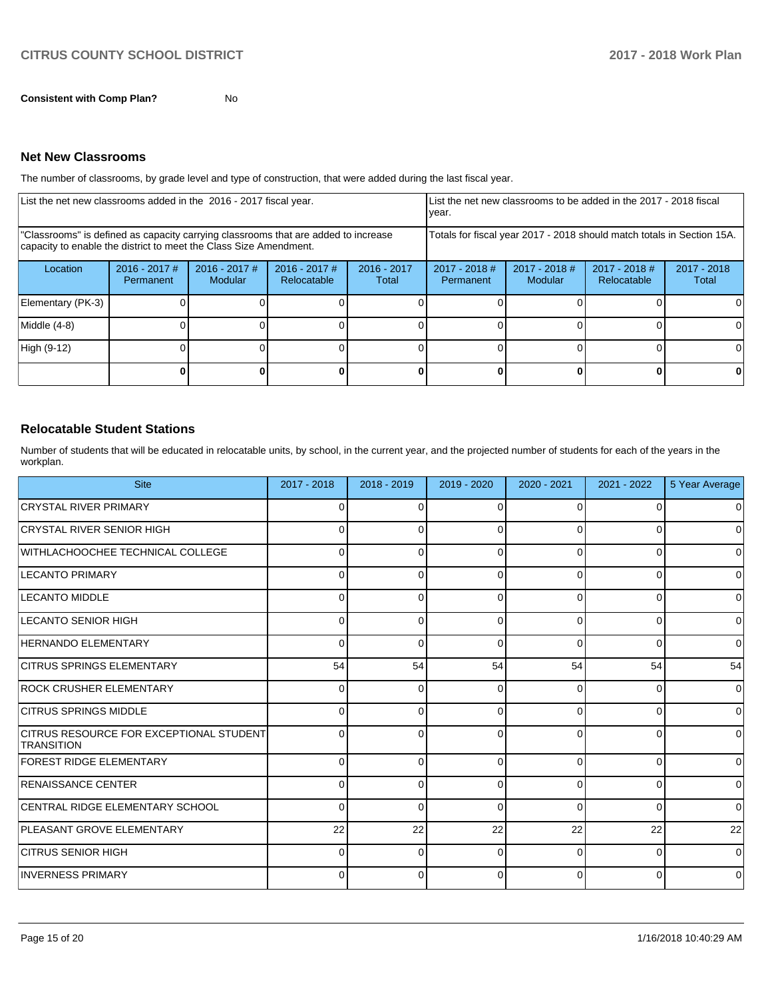**Consistent with Comp Plan?** No

### **Net New Classrooms**

The number of classrooms, by grade level and type of construction, that were added during the last fiscal year.

| List the net new classrooms added in the 2016 - 2017 fiscal year.                                                                                       |                              |                                   |                                                                        | year.                  |                              | List the net new classrooms to be added in the 2017 - 2018 fiscal |                                |                        |
|---------------------------------------------------------------------------------------------------------------------------------------------------------|------------------------------|-----------------------------------|------------------------------------------------------------------------|------------------------|------------------------------|-------------------------------------------------------------------|--------------------------------|------------------------|
| "Classrooms" is defined as capacity carrying classrooms that are added to increase<br>capacity to enable the district to meet the Class Size Amendment. |                              |                                   | Totals for fiscal year 2017 - 2018 should match totals in Section 15A. |                        |                              |                                                                   |                                |                        |
| Location                                                                                                                                                | $2016 - 2017$ #<br>Permanent | $2016 - 2017$ #<br><b>Modular</b> | $2016 - 2017$ #<br>Relocatable                                         | $2016 - 2017$<br>Total | $2017 - 2018$ #<br>Permanent | $2017 - 2018$ #<br>Modular                                        | $2017 - 2018$ #<br>Relocatable | $2017 - 2018$<br>Total |
| Elementary (PK-3)                                                                                                                                       |                              |                                   |                                                                        |                        |                              |                                                                   |                                |                        |
| Middle (4-8)                                                                                                                                            |                              |                                   |                                                                        |                        |                              |                                                                   |                                |                        |
| High (9-12)                                                                                                                                             |                              |                                   |                                                                        |                        |                              |                                                                   |                                |                        |
|                                                                                                                                                         |                              |                                   |                                                                        |                        |                              |                                                                   |                                |                        |

### **Relocatable Student Stations**

Number of students that will be educated in relocatable units, by school, in the current year, and the projected number of students for each of the years in the workplan.

| <b>Site</b>                                                  | 2017 - 2018 | $2018 - 2019$ | 2019 - 2020 | 2020 - 2021 | $2021 - 2022$ | 5 Year Average |
|--------------------------------------------------------------|-------------|---------------|-------------|-------------|---------------|----------------|
| <b>CRYSTAL RIVER PRIMARY</b>                                 | $\Omega$    | $\Omega$      | $\Omega$    | $\Omega$    |               | $\Omega$       |
| ICRYSTAL RIVER SENIOR HIGH                                   | $\Omega$    | $\Omega$      | $\Omega$    | $\Omega$    |               | $\Omega$       |
| WITHLACHOOCHEE TECHNICAL COLLEGE                             | $\Omega$    | $\Omega$      | $\Omega$    | 0           |               | $\Omega$       |
| LECANTO PRIMARY                                              | 0           | 0             | 0           | 0           | ŋ             | 0              |
| <b>LECANTO MIDDLE</b>                                        | 0           | $\Omega$      | 0           | $\Omega$    | O             | $\Omega$       |
| LECANTO SENIOR HIGH                                          | 0           | $\Omega$      | 0           | 0           | 0             | $\Omega$       |
| HERNANDO ELEMENTARY                                          | $\Omega$    | $\Omega$      | $\Omega$    | $\Omega$    | $\Omega$      | $\Omega$       |
| <b>CITRUS SPRINGS ELEMENTARY</b>                             | 54          | 54            | 54          | 54          | 54            | 54             |
| <b>ROCK CRUSHER ELEMENTARY</b>                               | $\Omega$    | $\Omega$      | 0           | 0           | $\Omega$      | $\Omega$       |
| <b>CITRUS SPRINGS MIDDLE</b>                                 | $\Omega$    | $\Omega$      | $\Omega$    | $\Omega$    | 0             | $\Omega$       |
| CITRUS RESOURCE FOR EXCEPTIONAL STUDENT<br><b>TRANSITION</b> | $\Omega$    | $\Omega$      | $\Omega$    | $\Omega$    | $\Omega$      | $\Omega$       |
| <b>FOREST RIDGE ELEMENTARY</b>                               | $\Omega$    | $\Omega$      | 0           | $\Omega$    | 0             | $\overline{0}$ |
| <b>RENAISSANCE CENTER</b>                                    | $\Omega$    | $\Omega$      | $\Omega$    | $\Omega$    | 0             | $\Omega$       |
| <b>CENTRAL RIDGE ELEMENTARY SCHOOL</b>                       | $\Omega$    | $\Omega$      | $\Omega$    | $\Omega$    | 0             | $\Omega$       |
| <b>PLEASANT GROVE ELEMENTARY</b>                             | 22          | 22            | 22          | 22          | 22            | 22             |
| <b>CITRUS SENIOR HIGH</b>                                    | $\Omega$    | 0             | $\Omega$    | $\Omega$    | O             | 0              |
| <b>INVERNESS PRIMARY</b>                                     | O           | 0             | C           | $\Omega$    |               | 0              |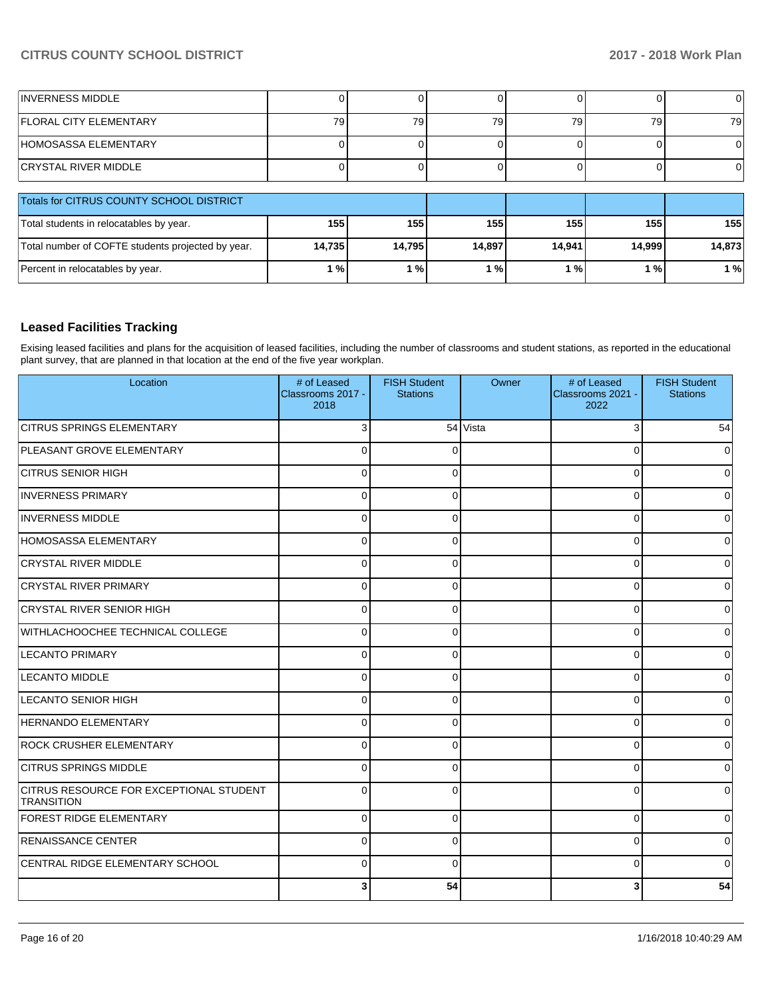| <b>INVERNESS MIDDLE</b>                           |        |        |        |        |        |        |
|---------------------------------------------------|--------|--------|--------|--------|--------|--------|
| <b>IFLORAL CITY ELEMENTARY</b>                    | 79     | 79     | 79     | 79     | 79     | 79     |
| HOMOSASSA ELEMENTARY                              |        |        |        |        |        |        |
| <b>CRYSTAL RIVER MIDDLE</b>                       |        |        |        |        |        |        |
| Totals for CITRUS COUNTY SCHOOL DISTRICT          |        |        |        |        |        |        |
| Total students in relocatables by year.           | 155    | 155    | 155    | 155    | 155    | 155    |
| Total number of COFTE students projected by year. | 14,735 | 14,795 | 14,897 | 14,941 | 14,999 | 14,873 |
| Percent in relocatables by year.                  | 1%     | 1%     | 1%     | 1%     | 1%     | 1%     |

### **Leased Facilities Tracking**

Exising leased facilities and plans for the acquisition of leased facilities, including the number of classrooms and student stations, as reported in the educational plant survey, that are planned in that location at the end of the five year workplan.

| Location                                                     | # of Leased<br>Classrooms 2017 -<br>2018 | <b>FISH Student</b><br><b>Stations</b> | Owner    | # of Leased<br>Classrooms 2021 -<br>2022 | <b>FISH Student</b><br><b>Stations</b> |
|--------------------------------------------------------------|------------------------------------------|----------------------------------------|----------|------------------------------------------|----------------------------------------|
| <b>CITRUS SPRINGS ELEMENTARY</b>                             | 3                                        |                                        | 54 Vista | 3                                        | 54                                     |
| PLEASANT GROVE ELEMENTARY                                    | $\Omega$                                 | $\Omega$                               |          | $\Omega$                                 | 0                                      |
| <b>CITRUS SENIOR HIGH</b>                                    | $\mathbf 0$                              | 0                                      |          | 0                                        | $\overline{0}$                         |
| <b>INVERNESS PRIMARY</b>                                     | $\Omega$                                 |                                        |          | $\Omega$                                 | $\Omega$                               |
| <b>INVERNESS MIDDLE</b>                                      | $\Omega$                                 | ſ                                      |          | $\Omega$                                 | $\overline{0}$                         |
| HOMOSASSA ELEMENTARY                                         | $\Omega$                                 | $\Omega$                               |          | $\Omega$                                 | 0                                      |
| CRYSTAL RIVER MIDDLE                                         | $\Omega$                                 | $\Omega$                               |          | $\Omega$                                 | 0                                      |
| <b>CRYSTAL RIVER PRIMARY</b>                                 | $\Omega$                                 | $\Omega$                               |          | $\Omega$                                 | $\overline{0}$                         |
| <b>CRYSTAL RIVER SENIOR HIGH</b>                             | $\Omega$                                 | n                                      |          | $\Omega$                                 | $\Omega$                               |
| WITHLACHOOCHEE TECHNICAL COLLEGE                             | $\mathbf 0$                              | ∩                                      |          | 0                                        | $\overline{0}$                         |
| <b>LECANTO PRIMARY</b>                                       | $\mathbf 0$                              | $\Omega$                               |          | $\Omega$                                 | 0                                      |
| <b>LECANTO MIDDLE</b>                                        | $\Omega$                                 | $\Omega$                               |          | $\Omega$                                 | $\Omega$                               |
| LECANTO SENIOR HIGH                                          | $\Omega$                                 | $\Omega$                               |          | $\Omega$                                 | $\overline{0}$                         |
| <b>HERNANDO ELEMENTARY</b>                                   | $\mathbf 0$                              |                                        |          | O                                        | $\overline{0}$                         |
| <b>ROCK CRUSHER ELEMENTARY</b>                               | $\mathbf 0$                              | ∩                                      |          | 0                                        | $\overline{0}$                         |
| <b>CITRUS SPRINGS MIDDLE</b>                                 | $\Omega$                                 |                                        |          | $\Omega$                                 | 0                                      |
| CITRUS RESOURCE FOR EXCEPTIONAL STUDENT<br><b>TRANSITION</b> | $\Omega$                                 |                                        |          | $\Omega$                                 | $\Omega$                               |
| <b>FOREST RIDGE ELEMENTARY</b>                               | $\Omega$                                 | $\Omega$                               |          | $\Omega$                                 | $\overline{0}$                         |
| <b>RENAISSANCE CENTER</b>                                    | $\Omega$                                 | 0                                      |          | $\Omega$                                 | $\overline{0}$                         |
| CENTRAL RIDGE ELEMENTARY SCHOOL                              | $\Omega$                                 |                                        |          | n                                        | 0                                      |
|                                                              | 3                                        | 54                                     |          | 3                                        | 54                                     |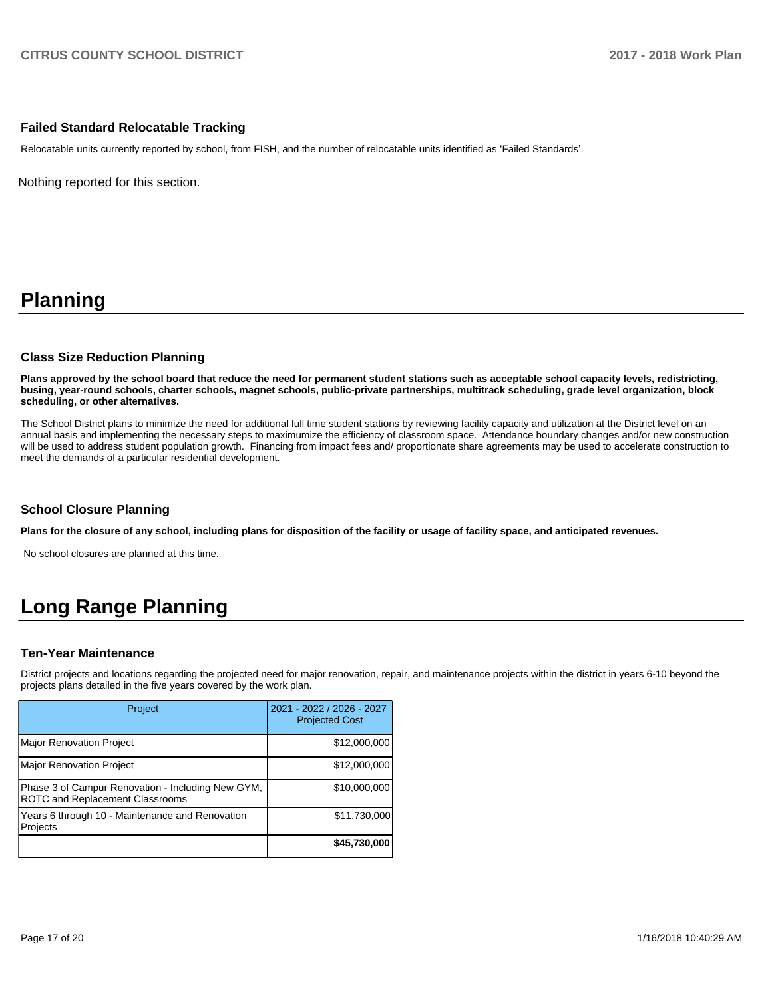### **Failed Standard Relocatable Tracking**

Relocatable units currently reported by school, from FISH, and the number of relocatable units identified as 'Failed Standards'.

Nothing reported for this section.

# **Planning**

### **Class Size Reduction Planning**

**Plans approved by the school board that reduce the need for permanent student stations such as acceptable school capacity levels, redistricting, busing, year-round schools, charter schools, magnet schools, public-private partnerships, multitrack scheduling, grade level organization, block scheduling, or other alternatives.**

The School District plans to minimize the need for additional full time student stations by reviewing facility capacity and utilization at the District level on an annual basis and implementing the necessary steps to maximumize the efficiency of classroom space. Attendance boundary changes and/or new construction will be used to address student population growth. Financing from impact fees and/ proportionate share agreements may be used to accelerate construction to meet the demands of a particular residential development.

### **School Closure Planning**

**Plans for the closure of any school, including plans for disposition of the facility or usage of facility space, and anticipated revenues.** 

No school closures are planned at this time.

# **Long Range Planning**

### **Ten-Year Maintenance**

District projects and locations regarding the projected need for major renovation, repair, and maintenance projects within the district in years 6-10 beyond the projects plans detailed in the five years covered by the work plan.

| Project                                                                              | 2021 - 2022 / 2026 - 2027<br><b>Projected Cost</b> |
|--------------------------------------------------------------------------------------|----------------------------------------------------|
| <b>Major Renovation Project</b>                                                      | \$12,000,000                                       |
| <b>Major Renovation Project</b>                                                      | \$12,000,000                                       |
| Phase 3 of Campur Renovation - Including New GYM,<br>ROTC and Replacement Classrooms | \$10,000,000                                       |
| Years 6 through 10 - Maintenance and Renovation<br>Projects                          | \$11,730,000                                       |
|                                                                                      | \$45,730,000                                       |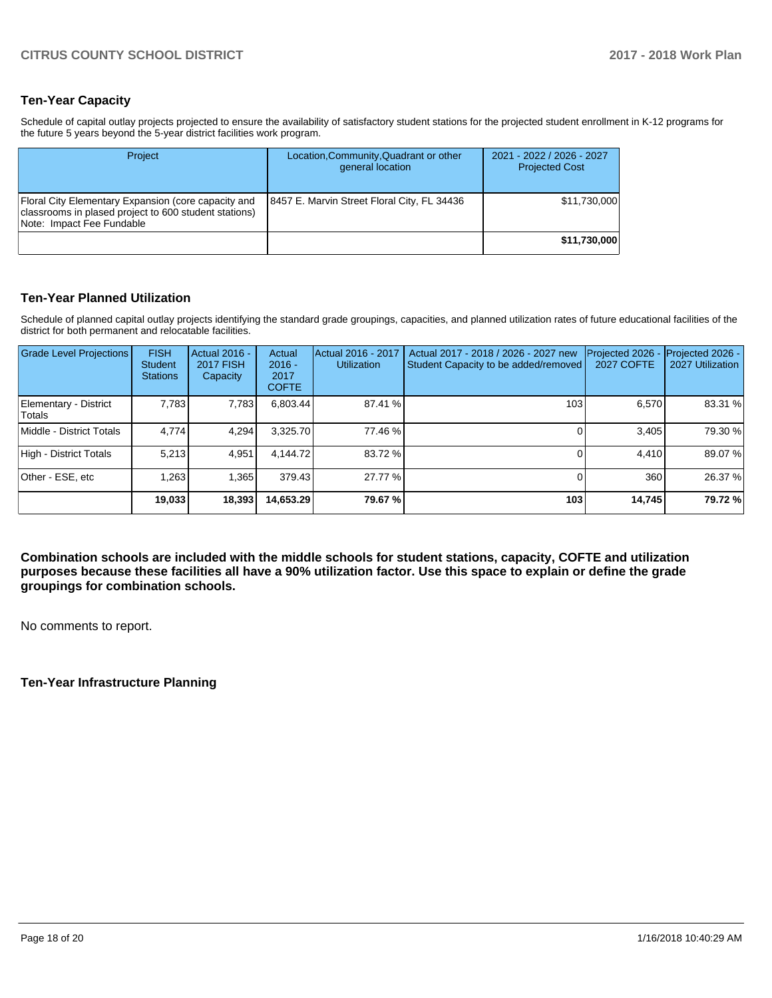## **Ten-Year Capacity**

Schedule of capital outlay projects projected to ensure the availability of satisfactory student stations for the projected student enrollment in K-12 programs for the future 5 years beyond the 5-year district facilities work program.

| Project                                                                                                                                   | Location, Community, Quadrant or other<br>general location | 2021 - 2022 / 2026 - 2027<br><b>Projected Cost</b> |
|-------------------------------------------------------------------------------------------------------------------------------------------|------------------------------------------------------------|----------------------------------------------------|
| Floral City Elementary Expansion (core capacity and<br>classrooms in plased project to 600 student stations)<br>Note: Impact Fee Fundable | 8457 E. Marvin Street Floral City, FL 34436                | \$11.730.000                                       |
|                                                                                                                                           |                                                            | \$11,730,000                                       |

### **Ten-Year Planned Utilization**

Schedule of planned capital outlay projects identifying the standard grade groupings, capacities, and planned utilization rates of future educational facilities of the district for both permanent and relocatable facilities.

| <b>Grade Level Projections</b>   | <b>FISH</b><br>Student<br><b>Stations</b> | Actual 2016 -<br><b>2017 FISH</b><br>Capacity | Actual<br>$2016 -$<br>2017<br><b>COFTE</b> | Actual 2016 - 2017<br><b>Utilization</b> | Actual 2017 - 2018 / 2026 - 2027 new<br>Student Capacity to be added/removed | Projected 2026<br>2027 COFTE | Projected 2026 -<br>2027 Utilization |
|----------------------------------|-------------------------------------------|-----------------------------------------------|--------------------------------------------|------------------------------------------|------------------------------------------------------------------------------|------------------------------|--------------------------------------|
| Elementary - District<br>lTotals | 7,783                                     | 7,783                                         | 6,803.44                                   | 87.41 %                                  | 103                                                                          | 6,570                        | 83.31 %                              |
| Middle - District Totals         | 4.774                                     | 4.294                                         | 3,325.70                                   | 77.46 %                                  |                                                                              | 3,405                        | 79.30 %                              |
| High - District Totals           | 5.213                                     | 4.951                                         | 4,144.72                                   | 83.72 %                                  |                                                                              | 4.410                        | 89.07 %                              |
| Other - ESE, etc                 | 1,263                                     | 1,365                                         | 379.43                                     | 27.77 %                                  |                                                                              | 360                          | 26.37 %                              |
|                                  | 19,033                                    | 18,393                                        | 14,653.29                                  | 79.67 %                                  | 103                                                                          | 14,745                       | 79.72 %                              |

**Combination schools are included with the middle schools for student stations, capacity, COFTE and utilization purposes because these facilities all have a 90% utilization factor. Use this space to explain or define the grade groupings for combination schools.** 

No comments to report.

### **Ten-Year Infrastructure Planning**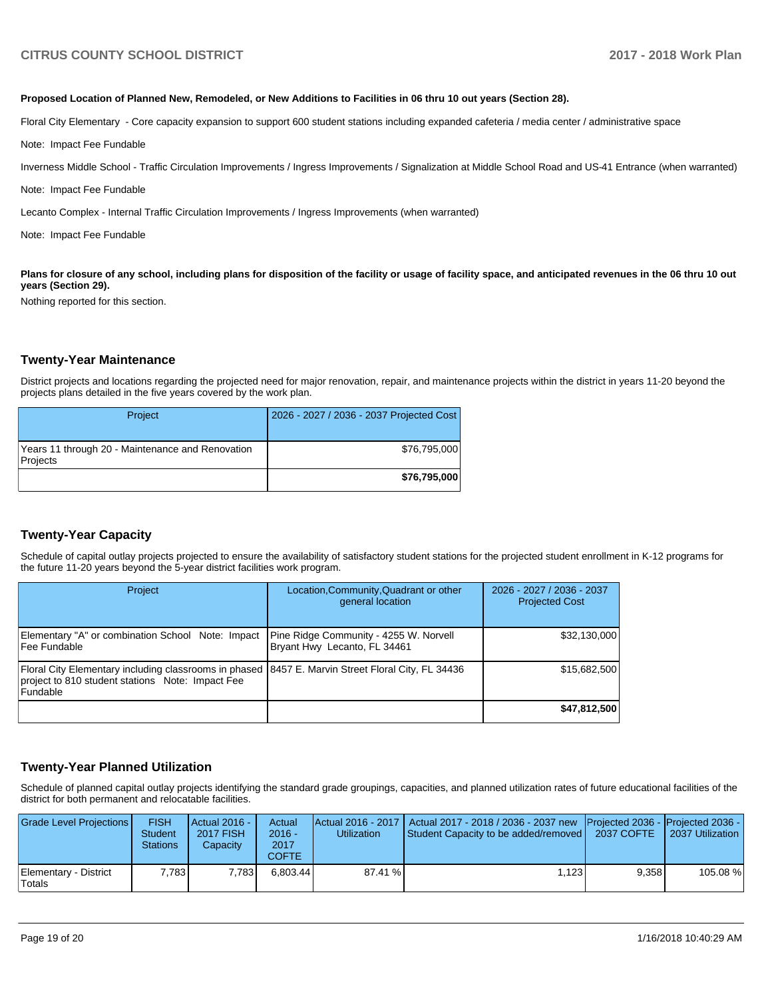#### **Proposed Location of Planned New, Remodeled, or New Additions to Facilities in 06 thru 10 out years (Section 28).**

Floral City Elementary - Core capacity expansion to support 600 student stations including expanded cafeteria / media center / administrative space

Note: Impact Fee Fundable

Inverness Middle School - Traffic Circulation Improvements / Ingress Improvements / Signalization at Middle School Road and US-41 Entrance (when warranted)

Note: Impact Fee Fundable

Lecanto Complex - Internal Traffic Circulation Improvements / Ingress Improvements (when warranted)

Note: Impact Fee Fundable

Plans for closure of any school, including plans for disposition of the facility or usage of facility space, and anticipated revenues in the 06 thru 10 out **years (Section 29).**

Nothing reported for this section.

#### **Twenty-Year Maintenance**

District projects and locations regarding the projected need for major renovation, repair, and maintenance projects within the district in years 11-20 beyond the projects plans detailed in the five years covered by the work plan.

| Project                                                      | 2026 - 2027 / 2036 - 2037 Projected Cost |
|--------------------------------------------------------------|------------------------------------------|
| Years 11 through 20 - Maintenance and Renovation<br>Projects | \$76,795,000                             |
|                                                              | \$76,795,000                             |

### **Twenty-Year Capacity**

Schedule of capital outlay projects projected to ensure the availability of satisfactory student stations for the projected student enrollment in K-12 programs for the future 11-20 years beyond the 5-year district facilities work program.

| Project                                                                                                                                                                  | Location, Community, Quadrant or other<br>general location             | 2026 - 2027 / 2036 - 2037<br><b>Projected Cost</b> |
|--------------------------------------------------------------------------------------------------------------------------------------------------------------------------|------------------------------------------------------------------------|----------------------------------------------------|
| Elementary "A" or combination School Note: Impact<br>l Fee Fundable                                                                                                      | Pine Ridge Community - 4255 W. Norvell<br>Bryant Hwy Lecanto, FL 34461 | \$32,130,000                                       |
| Floral City Elementary including classrooms in phased 8457 E. Marvin Street Floral City, FL 34436<br>project to 810 student stations Note: Impact Fee<br><b>Fundable</b> |                                                                        | \$15,682,500                                       |
|                                                                                                                                                                          |                                                                        | \$47,812,500                                       |

### **Twenty-Year Planned Utilization**

Schedule of planned capital outlay projects identifying the standard grade groupings, capacities, and planned utilization rates of future educational facilities of the district for both permanent and relocatable facilities.

| Grade Level Projections         | <b>FISH</b><br>Student<br><b>Stations</b> | Actual 2016 -<br><b>2017 FISH</b><br>Capacity | Actual<br>$2016 -$<br>2017<br>COFTE | <b>Utilization</b> | Actual 2016 - 2017   Actual 2017 - 2018 / 2036 - 2037 new   Projected 2036 -   Projected 2036 -<br>Student Capacity to be added/removed | 2037 COFTE | 2037 Utilization |
|---------------------------------|-------------------------------------------|-----------------------------------------------|-------------------------------------|--------------------|-----------------------------------------------------------------------------------------------------------------------------------------|------------|------------------|
| Elementary - District<br>Totals | 7.783                                     | 7.783                                         | 6.803.44                            | 87.41 %            | 1.123                                                                                                                                   | 9.358      | 105.08 %         |